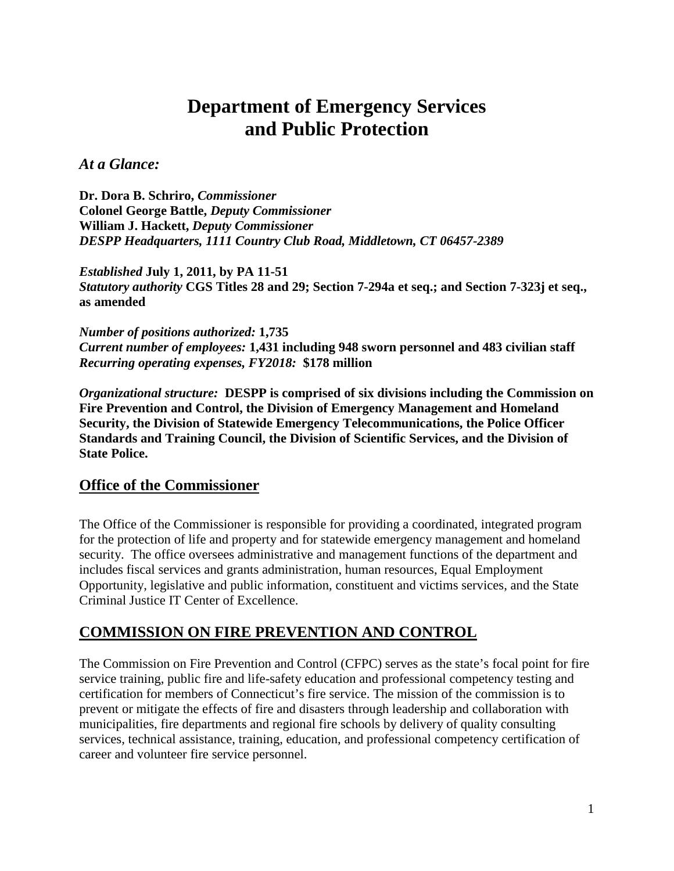# **Department of Emergency Services and Public Protection**

*At a Glance:*

**Dr. Dora B. Schriro,** *Commissioner*  **Colonel George Battle,** *Deputy Commissioner* **William J. Hackett,** *Deputy Commissioner DESPP Headquarters, 1111 Country Club Road, Middletown, CT 06457-2389*

*Established* **July 1, 2011, by PA 11-51** *Statutory authority* **CGS Titles 28 and 29; Section 7-294a et seq.; and Section 7-323j et seq., as amended**

*Number of positions authorized:* **1,735** *Current number of employees:* **1,431 including 948 sworn personnel and 483 civilian staff** *Recurring operating expenses, FY2018:* **\$178 million**

*Organizational structure:* **DESPP is comprised of six divisions including the Commission on Fire Prevention and Control, the Division of Emergency Management and Homeland Security, the Division of Statewide Emergency Telecommunications, the Police Officer Standards and Training Council, the Division of Scientific Services, and the Division of State Police.**

# **Office of the Commissioner**

The Office of the Commissioner is responsible for providing a coordinated, integrated program for the protection of life and property and for statewide emergency management and homeland security. The office oversees administrative and management functions of the department and includes fiscal services and grants administration, human resources, Equal Employment Opportunity, legislative and public information, constituent and victims services, and the State Criminal Justice IT Center of Excellence.

# **COMMISSION ON FIRE PREVENTION AND CONTROL**

The Commission on Fire Prevention and Control (CFPC) serves as the state's focal point for fire service training, public fire and life-safety education and professional competency testing and certification for members of Connecticut's fire service. The mission of the commission is to prevent or mitigate the effects of fire and disasters through leadership and collaboration with municipalities, fire departments and regional fire schools by delivery of quality consulting services, technical assistance, training, education, and professional competency certification of career and volunteer fire service personnel.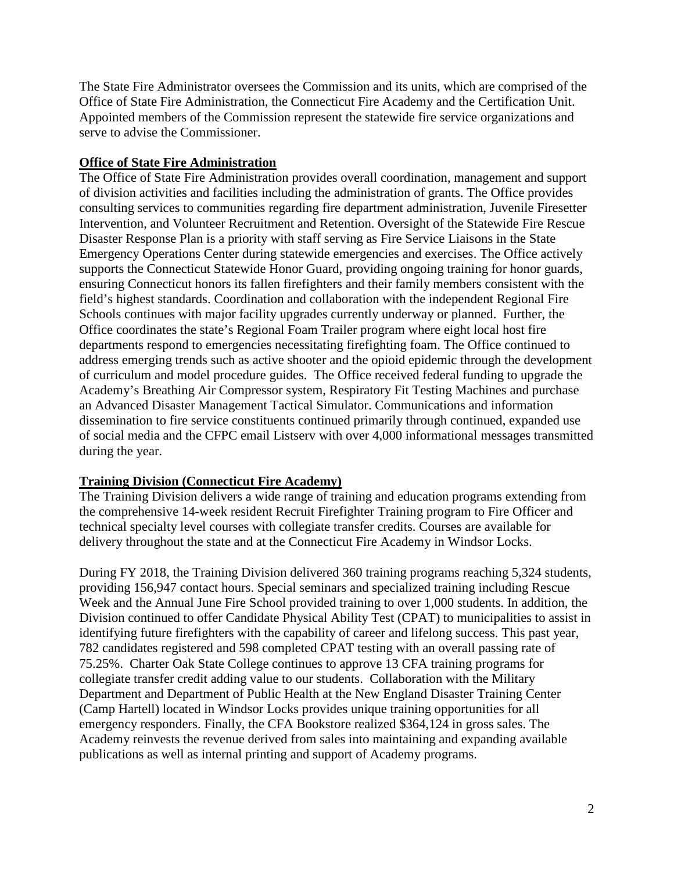The State Fire Administrator oversees the Commission and its units, which are comprised of the Office of State Fire Administration, the Connecticut Fire Academy and the Certification Unit. Appointed members of the Commission represent the statewide fire service organizations and serve to advise the Commissioner.

#### **Office of State Fire Administration**

The Office of State Fire Administration provides overall coordination, management and support of division activities and facilities including the administration of grants. The Office provides consulting services to communities regarding fire department administration, Juvenile Firesetter Intervention, and Volunteer Recruitment and Retention. Oversight of the Statewide Fire Rescue Disaster Response Plan is a priority with staff serving as Fire Service Liaisons in the State Emergency Operations Center during statewide emergencies and exercises. The Office actively supports the Connecticut Statewide Honor Guard, providing ongoing training for honor guards, ensuring Connecticut honors its fallen firefighters and their family members consistent with the field's highest standards. Coordination and collaboration with the independent Regional Fire Schools continues with major facility upgrades currently underway or planned. Further, the Office coordinates the state's Regional Foam Trailer program where eight local host fire departments respond to emergencies necessitating firefighting foam. The Office continued to address emerging trends such as active shooter and the opioid epidemic through the development of curriculum and model procedure guides. The Office received federal funding to upgrade the Academy's Breathing Air Compressor system, Respiratory Fit Testing Machines and purchase an Advanced Disaster Management Tactical Simulator. Communications and information dissemination to fire service constituents continued primarily through continued, expanded use of social media and the CFPC email Listserv with over 4,000 informational messages transmitted during the year.

## **Training Division (Connecticut Fire Academy)**

The Training Division delivers a wide range of training and education programs extending from the comprehensive 14-week resident Recruit Firefighter Training program to Fire Officer and technical specialty level courses with collegiate transfer credits. Courses are available for delivery throughout the state and at the Connecticut Fire Academy in Windsor Locks.

During FY 2018, the Training Division delivered 360 training programs reaching 5,324 students, providing 156,947 contact hours. Special seminars and specialized training including Rescue Week and the Annual June Fire School provided training to over 1,000 students. In addition, the Division continued to offer Candidate Physical Ability Test (CPAT) to municipalities to assist in identifying future firefighters with the capability of career and lifelong success. This past year, 782 candidates registered and 598 completed CPAT testing with an overall passing rate of 75.25%. Charter Oak State College continues to approve 13 CFA training programs for collegiate transfer credit adding value to our students. Collaboration with the Military Department and Department of Public Health at the New England Disaster Training Center (Camp Hartell) located in Windsor Locks provides unique training opportunities for all emergency responders. Finally, the CFA Bookstore realized \$364,124 in gross sales. The Academy reinvests the revenue derived from sales into maintaining and expanding available publications as well as internal printing and support of Academy programs.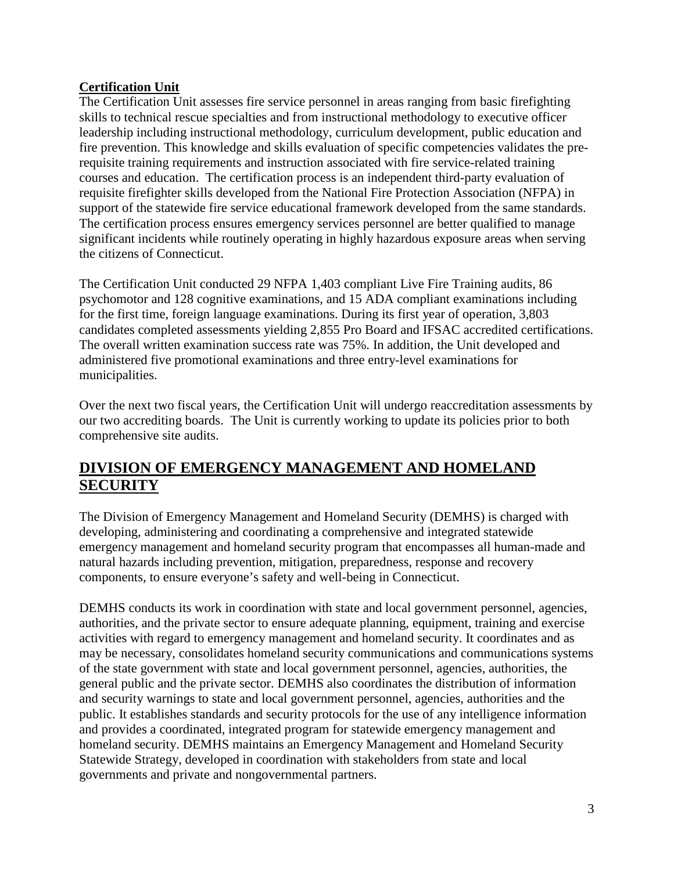## **Certification Unit**

The Certification Unit assesses fire service personnel in areas ranging from basic firefighting skills to technical rescue specialties and from instructional methodology to executive officer leadership including instructional methodology, curriculum development, public education and fire prevention. This knowledge and skills evaluation of specific competencies validates the prerequisite training requirements and instruction associated with fire service-related training courses and education. The certification process is an independent third-party evaluation of requisite firefighter skills developed from the National Fire Protection Association (NFPA) in support of the statewide fire service educational framework developed from the same standards. The certification process ensures emergency services personnel are better qualified to manage significant incidents while routinely operating in highly hazardous exposure areas when serving the citizens of Connecticut.

The Certification Unit conducted 29 NFPA 1,403 compliant Live Fire Training audits, 86 psychomotor and 128 cognitive examinations, and 15 ADA compliant examinations including for the first time, foreign language examinations. During its first year of operation, 3,803 candidates completed assessments yielding 2,855 Pro Board and IFSAC accredited certifications. The overall written examination success rate was 75%. In addition, the Unit developed and administered five promotional examinations and three entry-level examinations for municipalities.

Over the next two fiscal years, the Certification Unit will undergo reaccreditation assessments by our two accrediting boards. The Unit is currently working to update its policies prior to both comprehensive site audits.

# **DIVISION OF EMERGENCY MANAGEMENT AND HOMELAND SECURITY**

The Division of Emergency Management and Homeland Security (DEMHS) is charged with developing, administering and coordinating a comprehensive and integrated statewide emergency management and homeland security program that encompasses all human-made and natural hazards including prevention, mitigation, preparedness, response and recovery components, to ensure everyone's safety and well-being in Connecticut.

DEMHS conducts its work in coordination with state and local government personnel, agencies, authorities, and the private sector to ensure adequate planning, equipment, training and exercise activities with regard to emergency management and homeland security. It coordinates and as may be necessary, consolidates homeland security communications and communications systems of the state government with state and local government personnel, agencies, authorities, the general public and the private sector. DEMHS also coordinates the distribution of information and security warnings to state and local government personnel, agencies, authorities and the public. It establishes standards and security protocols for the use of any intelligence information and provides a coordinated, integrated program for statewide emergency management and homeland security. DEMHS maintains an Emergency Management and Homeland Security Statewide Strategy, developed in coordination with stakeholders from state and local governments and private and nongovernmental partners.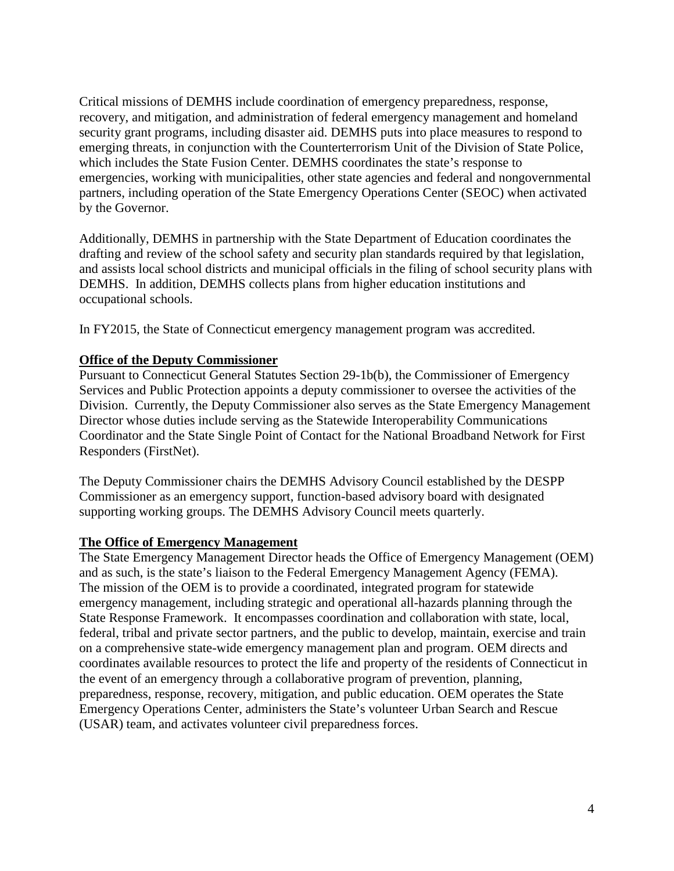Critical missions of DEMHS include coordination of emergency preparedness, response, recovery, and mitigation, and administration of federal emergency management and homeland security grant programs, including disaster aid. DEMHS puts into place measures to respond to emerging threats, in conjunction with the Counterterrorism Unit of the Division of State Police, which includes the State Fusion Center. DEMHS coordinates the state's response to emergencies, working with municipalities, other state agencies and federal and nongovernmental partners, including operation of the State Emergency Operations Center (SEOC) when activated by the Governor.

Additionally, DEMHS in partnership with the State Department of Education coordinates the drafting and review of the school safety and security plan standards required by that legislation, and assists local school districts and municipal officials in the filing of school security plans with DEMHS. In addition, DEMHS collects plans from higher education institutions and occupational schools.

In FY2015, the State of Connecticut emergency management program was accredited.

#### **Office of the Deputy Commissioner**

Pursuant to Connecticut General Statutes Section 29-1b(b), the Commissioner of Emergency Services and Public Protection appoints a deputy commissioner to oversee the activities of the Division. Currently, the Deputy Commissioner also serves as the State Emergency Management Director whose duties include serving as the Statewide Interoperability Communications Coordinator and the State Single Point of Contact for the National Broadband Network for First Responders (FirstNet).

The Deputy Commissioner chairs the DEMHS Advisory Council established by the DESPP Commissioner as an emergency support, function-based advisory board with designated supporting working groups. The DEMHS Advisory Council meets quarterly.

## **The Office of Emergency Management**

The State Emergency Management Director heads the Office of Emergency Management (OEM) and as such, is the state's liaison to the Federal Emergency Management Agency (FEMA). The mission of the OEM is to provide a coordinated, integrated program for statewide emergency management, including strategic and operational all-hazards planning through the State Response Framework. It encompasses coordination and collaboration with state, local, federal, tribal and private sector partners, and the public to develop, maintain, exercise and train on a comprehensive state-wide emergency management plan and program. OEM directs and coordinates available resources to protect the life and property of the residents of Connecticut in the event of an emergency through a collaborative program of prevention, planning, preparedness, response, recovery, mitigation, and public education. OEM operates the State Emergency Operations Center, administers the State's volunteer Urban Search and Rescue (USAR) team, and activates volunteer civil preparedness forces.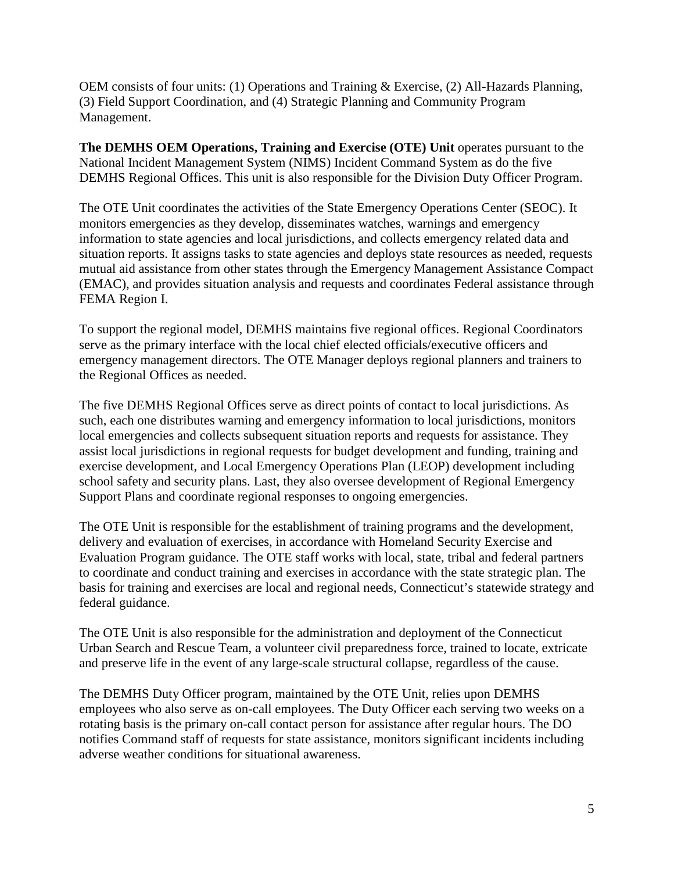OEM consists of four units: (1) Operations and Training & Exercise, (2) All-Hazards Planning, (3) Field Support Coordination, and (4) Strategic Planning and Community Program Management.

**The DEMHS OEM Operations, Training and Exercise (OTE) Unit** operates pursuant to the National Incident Management System (NIMS) Incident Command System as do the five DEMHS Regional Offices. This unit is also responsible for the Division Duty Officer Program.

The OTE Unit coordinates the activities of the State Emergency Operations Center (SEOC). It monitors emergencies as they develop, disseminates watches, warnings and emergency information to state agencies and local jurisdictions, and collects emergency related data and situation reports. It assigns tasks to state agencies and deploys state resources as needed, requests mutual aid assistance from other states through the Emergency Management Assistance Compact (EMAC), and provides situation analysis and requests and coordinates Federal assistance through FEMA Region I.

To support the regional model, DEMHS maintains five regional offices. Regional Coordinators serve as the primary interface with the local chief elected officials/executive officers and emergency management directors. The OTE Manager deploys regional planners and trainers to the Regional Offices as needed.

The five DEMHS Regional Offices serve as direct points of contact to local jurisdictions. As such, each one distributes warning and emergency information to local jurisdictions, monitors local emergencies and collects subsequent situation reports and requests for assistance. They assist local jurisdictions in regional requests for budget development and funding, training and exercise development, and Local Emergency Operations Plan (LEOP) development including school safety and security plans. Last, they also oversee development of Regional Emergency Support Plans and coordinate regional responses to ongoing emergencies.

The OTE Unit is responsible for the establishment of training programs and the development, delivery and evaluation of exercises, in accordance with Homeland Security Exercise and Evaluation Program guidance. The OTE staff works with local, state, tribal and federal partners to coordinate and conduct training and exercises in accordance with the state strategic plan. The basis for training and exercises are local and regional needs, Connecticut's statewide strategy and federal guidance.

The OTE Unit is also responsible for the administration and deployment of the Connecticut Urban Search and Rescue Team, a volunteer civil preparedness force, trained to locate, extricate and preserve life in the event of any large-scale structural collapse, regardless of the cause.

The DEMHS Duty Officer program, maintained by the OTE Unit, relies upon DEMHS employees who also serve as on-call employees. The Duty Officer each serving two weeks on a rotating basis is the primary on-call contact person for assistance after regular hours. The DO notifies Command staff of requests for state assistance, monitors significant incidents including adverse weather conditions for situational awareness.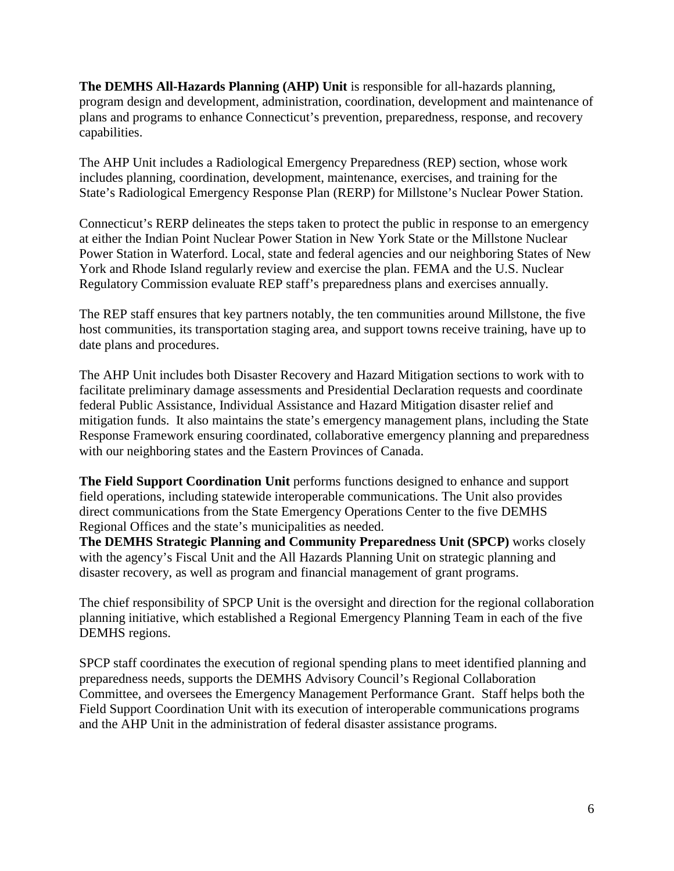**The DEMHS All-Hazards Planning (AHP) Unit** is responsible for all-hazards planning, program design and development, administration, coordination, development and maintenance of plans and programs to enhance Connecticut's prevention, preparedness, response, and recovery capabilities.

The AHP Unit includes a Radiological Emergency Preparedness (REP) section, whose work includes planning, coordination, development, maintenance, exercises, and training for the State's Radiological Emergency Response Plan (RERP) for Millstone's Nuclear Power Station.

Connecticut's RERP delineates the steps taken to protect the public in response to an emergency at either the Indian Point Nuclear Power Station in New York State or the Millstone Nuclear Power Station in Waterford. Local, state and federal agencies and our neighboring States of New York and Rhode Island regularly review and exercise the plan. FEMA and the U.S. Nuclear Regulatory Commission evaluate REP staff's preparedness plans and exercises annually.

The REP staff ensures that key partners notably, the ten communities around Millstone, the five host communities, its transportation staging area, and support towns receive training, have up to date plans and procedures.

The AHP Unit includes both Disaster Recovery and Hazard Mitigation sections to work with to facilitate preliminary damage assessments and Presidential Declaration requests and coordinate federal Public Assistance, Individual Assistance and Hazard Mitigation disaster relief and mitigation funds. It also maintains the state's emergency management plans, including the State Response Framework ensuring coordinated, collaborative emergency planning and preparedness with our neighboring states and the Eastern Provinces of Canada.

**The Field Support Coordination Unit** performs functions designed to enhance and support field operations, including statewide interoperable communications. The Unit also provides direct communications from the State Emergency Operations Center to the five DEMHS Regional Offices and the state's municipalities as needed.

**The DEMHS Strategic Planning and Community Preparedness Unit (SPCP)** works closely with the agency's Fiscal Unit and the All Hazards Planning Unit on strategic planning and disaster recovery, as well as program and financial management of grant programs.

The chief responsibility of SPCP Unit is the oversight and direction for the regional collaboration planning initiative, which established a Regional Emergency Planning Team in each of the five DEMHS regions.

SPCP staff coordinates the execution of regional spending plans to meet identified planning and preparedness needs, supports the DEMHS Advisory Council's Regional Collaboration Committee, and oversees the Emergency Management Performance Grant. Staff helps both the Field Support Coordination Unit with its execution of interoperable communications programs and the AHP Unit in the administration of federal disaster assistance programs.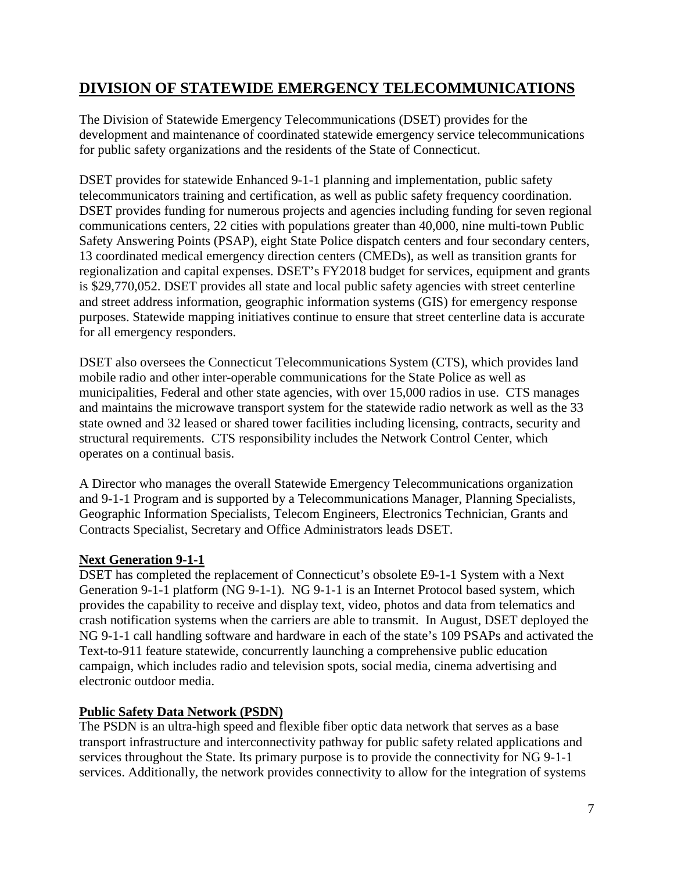# **DIVISION OF STATEWIDE EMERGENCY TELECOMMUNICATIONS**

The Division of Statewide Emergency Telecommunications (DSET) provides for the development and maintenance of coordinated statewide emergency service telecommunications for public safety organizations and the residents of the State of Connecticut.

DSET provides for statewide Enhanced 9-1-1 planning and implementation, public safety telecommunicators training and certification, as well as public safety frequency coordination. DSET provides funding for numerous projects and agencies including funding for seven regional communications centers, 22 cities with populations greater than 40,000, nine multi-town Public Safety Answering Points (PSAP), eight State Police dispatch centers and four secondary centers, 13 coordinated medical emergency direction centers (CMEDs), as well as transition grants for regionalization and capital expenses. DSET's FY2018 budget for services, equipment and grants is \$29,770,052. DSET provides all state and local public safety agencies with street centerline and street address information, geographic information systems (GIS) for emergency response purposes. Statewide mapping initiatives continue to ensure that street centerline data is accurate for all emergency responders.

DSET also oversees the Connecticut Telecommunications System (CTS), which provides land mobile radio and other inter-operable communications for the State Police as well as municipalities, Federal and other state agencies, with over 15,000 radios in use. CTS manages and maintains the microwave transport system for the statewide radio network as well as the 33 state owned and 32 leased or shared tower facilities including licensing, contracts, security and structural requirements. CTS responsibility includes the Network Control Center, which operates on a continual basis.

A Director who manages the overall Statewide Emergency Telecommunications organization and 9-1-1 Program and is supported by a Telecommunications Manager, Planning Specialists, Geographic Information Specialists, Telecom Engineers, Electronics Technician, Grants and Contracts Specialist, Secretary and Office Administrators leads DSET.

## **Next Generation 9-1-1**

DSET has completed the replacement of Connecticut's obsolete E9-1-1 System with a Next Generation 9-1-1 platform (NG 9-1-1). NG 9-1-1 is an Internet Protocol based system, which provides the capability to receive and display text, video, photos and data from telematics and crash notification systems when the carriers are able to transmit. In August, DSET deployed the NG 9-1-1 call handling software and hardware in each of the state's 109 PSAPs and activated the Text-to-911 feature statewide, concurrently launching a comprehensive public education campaign, which includes radio and television spots, social media, cinema advertising and electronic outdoor media.

## **Public Safety Data Network (PSDN)**

The PSDN is an ultra-high speed and flexible fiber optic data network that serves as a base transport infrastructure and interconnectivity pathway for public safety related applications and services throughout the State. Its primary purpose is to provide the connectivity for NG 9-1-1 services. Additionally, the network provides connectivity to allow for the integration of systems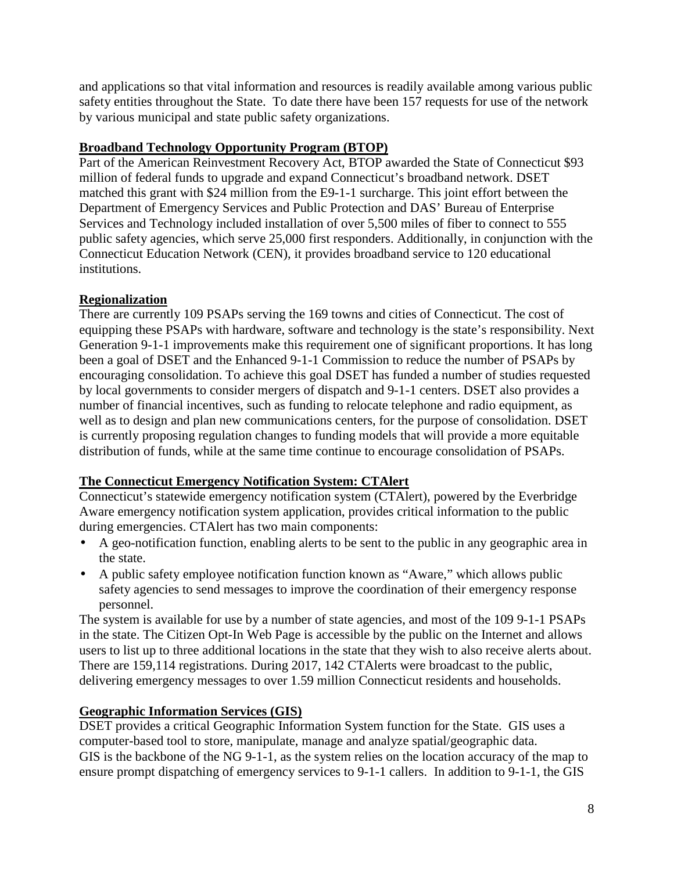and applications so that vital information and resources is readily available among various public safety entities throughout the State. To date there have been 157 requests for use of the network by various municipal and state public safety organizations.

## **Broadband Technology Opportunity Program (BTOP)**

Part of the American Reinvestment Recovery Act, BTOP awarded the State of Connecticut \$93 million of federal funds to upgrade and expand Connecticut's broadband network. DSET matched this grant with \$24 million from the E9-1-1 surcharge. This joint effort between the Department of Emergency Services and Public Protection and DAS' Bureau of Enterprise Services and Technology included installation of over 5,500 miles of fiber to connect to 555 public safety agencies, which serve 25,000 first responders. Additionally, in conjunction with the Connecticut Education Network (CEN), it provides broadband service to 120 educational institutions.

## **Regionalization**

There are currently 109 PSAPs serving the 169 towns and cities of Connecticut. The cost of equipping these PSAPs with hardware, software and technology is the state's responsibility. Next Generation 9-1-1 improvements make this requirement one of significant proportions. It has long been a goal of DSET and the Enhanced 9-1-1 Commission to reduce the number of PSAPs by encouraging consolidation. To achieve this goal DSET has funded a number of studies requested by local governments to consider mergers of dispatch and 9-1-1 centers. DSET also provides a number of financial incentives, such as funding to relocate telephone and radio equipment, as well as to design and plan new communications centers, for the purpose of consolidation. DSET is currently proposing regulation changes to funding models that will provide a more equitable distribution of funds, while at the same time continue to encourage consolidation of PSAPs.

## **The Connecticut Emergency Notification System: CTAlert**

Connecticut's statewide emergency notification system (CTAlert), powered by the Everbridge Aware emergency notification system application, provides critical information to the public during emergencies. CTAlert has two main components:

- A geo-notification function, enabling alerts to be sent to the public in any geographic area in the state.
- A public safety employee notification function known as "Aware," which allows public safety agencies to send messages to improve the coordination of their emergency response personnel.

The system is available for use by a number of state agencies, and most of the 109 9-1-1 PSAPs in the state. The Citizen Opt-In Web Page is accessible by the public on the Internet and allows users to list up to three additional locations in the state that they wish to also receive alerts about. There are 159,114 registrations. During 2017, 142 CTAlerts were broadcast to the public, delivering emergency messages to over 1.59 million Connecticut residents and households.

## **Geographic Information Services (GIS)**

DSET provides a critical Geographic Information System function for the State. GIS uses a computer-based tool to store, manipulate, manage and analyze spatial/geographic data. GIS is the backbone of the NG 9-1-1, as the system relies on the location accuracy of the map to ensure prompt dispatching of emergency services to 9-1-1 callers. In addition to 9-1-1, the GIS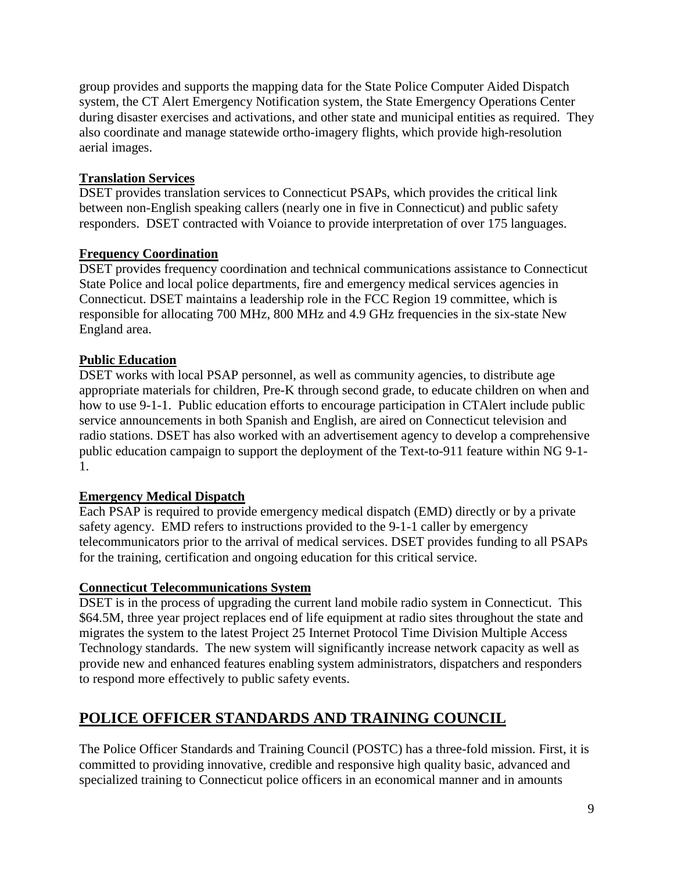group provides and supports the mapping data for the State Police Computer Aided Dispatch system, the CT Alert Emergency Notification system, the State Emergency Operations Center during disaster exercises and activations, and other state and municipal entities as required. They also coordinate and manage statewide ortho-imagery flights, which provide high-resolution aerial images.

## **Translation Services**

DSET provides translation services to Connecticut PSAPs, which provides the critical link between non-English speaking callers (nearly one in five in Connecticut) and public safety responders. DSET contracted with Voiance to provide interpretation of over 175 languages.

## **Frequency Coordination**

DSET provides frequency coordination and technical communications assistance to Connecticut State Police and local police departments, fire and emergency medical services agencies in Connecticut. DSET maintains a leadership role in the FCC Region 19 committee, which is responsible for allocating 700 MHz, 800 MHz and 4.9 GHz frequencies in the six-state New England area.

## **Public Education**

DSET works with local PSAP personnel, as well as community agencies, to distribute age appropriate materials for children, Pre-K through second grade, to educate children on when and how to use 9-1-1. Public education efforts to encourage participation in CTAlert include public service announcements in both Spanish and English, are aired on Connecticut television and radio stations. DSET has also worked with an advertisement agency to develop a comprehensive public education campaign to support the deployment of the Text-to-911 feature within NG 9-1- 1.

## **Emergency Medical Dispatch**

Each PSAP is required to provide emergency medical dispatch (EMD) directly or by a private safety agency. EMD refers to instructions provided to the 9-1-1 caller by emergency telecommunicators prior to the arrival of medical services. DSET provides funding to all PSAPs for the training, certification and ongoing education for this critical service.

## **Connecticut Telecommunications System**

DSET is in the process of upgrading the current land mobile radio system in Connecticut. This \$64.5M, three year project replaces end of life equipment at radio sites throughout the state and migrates the system to the latest Project 25 Internet Protocol Time Division Multiple Access Technology standards. The new system will significantly increase network capacity as well as provide new and enhanced features enabling system administrators, dispatchers and responders to respond more effectively to public safety events.

# **POLICE OFFICER STANDARDS AND TRAINING COUNCIL**

The Police Officer Standards and Training Council (POSTC) has a three-fold mission. First, it is committed to providing innovative, credible and responsive high quality basic, advanced and specialized training to Connecticut police officers in an economical manner and in amounts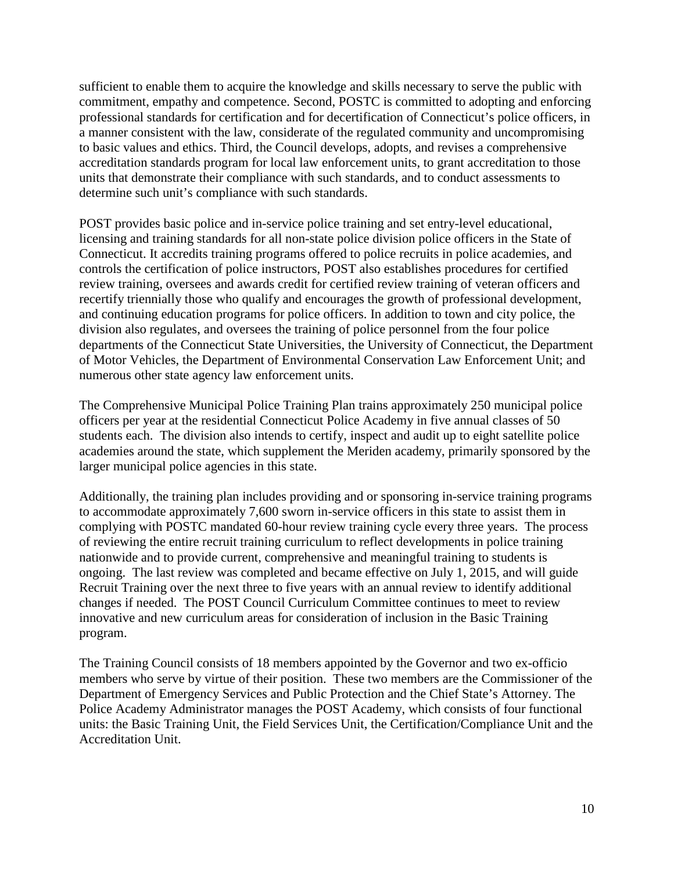sufficient to enable them to acquire the knowledge and skills necessary to serve the public with commitment, empathy and competence. Second, POSTC is committed to adopting and enforcing professional standards for certification and for decertification of Connecticut's police officers, in a manner consistent with the law, considerate of the regulated community and uncompromising to basic values and ethics. Third, the Council develops, adopts, and revises a comprehensive accreditation standards program for local law enforcement units, to grant accreditation to those units that demonstrate their compliance with such standards, and to conduct assessments to determine such unit's compliance with such standards.

POST provides basic police and in-service police training and set entry-level educational, licensing and training standards for all non-state police division police officers in the State of Connecticut. It accredits training programs offered to police recruits in police academies, and controls the certification of police instructors, POST also establishes procedures for certified review training, oversees and awards credit for certified review training of veteran officers and recertify triennially those who qualify and encourages the growth of professional development, and continuing education programs for police officers. In addition to town and city police, the division also regulates, and oversees the training of police personnel from the four police departments of the Connecticut State Universities, the University of Connecticut, the Department of Motor Vehicles, the Department of Environmental Conservation Law Enforcement Unit; and numerous other state agency law enforcement units.

The Comprehensive Municipal Police Training Plan trains approximately 250 municipal police officers per year at the residential Connecticut Police Academy in five annual classes of 50 students each. The division also intends to certify, inspect and audit up to eight satellite police academies around the state, which supplement the Meriden academy, primarily sponsored by the larger municipal police agencies in this state.

Additionally, the training plan includes providing and or sponsoring in-service training programs to accommodate approximately 7,600 sworn in-service officers in this state to assist them in complying with POSTC mandated 60-hour review training cycle every three years. The process of reviewing the entire recruit training curriculum to reflect developments in police training nationwide and to provide current, comprehensive and meaningful training to students is ongoing. The last review was completed and became effective on July 1, 2015, and will guide Recruit Training over the next three to five years with an annual review to identify additional changes if needed. The POST Council Curriculum Committee continues to meet to review innovative and new curriculum areas for consideration of inclusion in the Basic Training program.

The Training Council consists of 18 members appointed by the Governor and two ex-officio members who serve by virtue of their position. These two members are the Commissioner of the Department of Emergency Services and Public Protection and the Chief State's Attorney. The Police Academy Administrator manages the POST Academy, which consists of four functional units: the Basic Training Unit, the Field Services Unit, the Certification/Compliance Unit and the Accreditation Unit.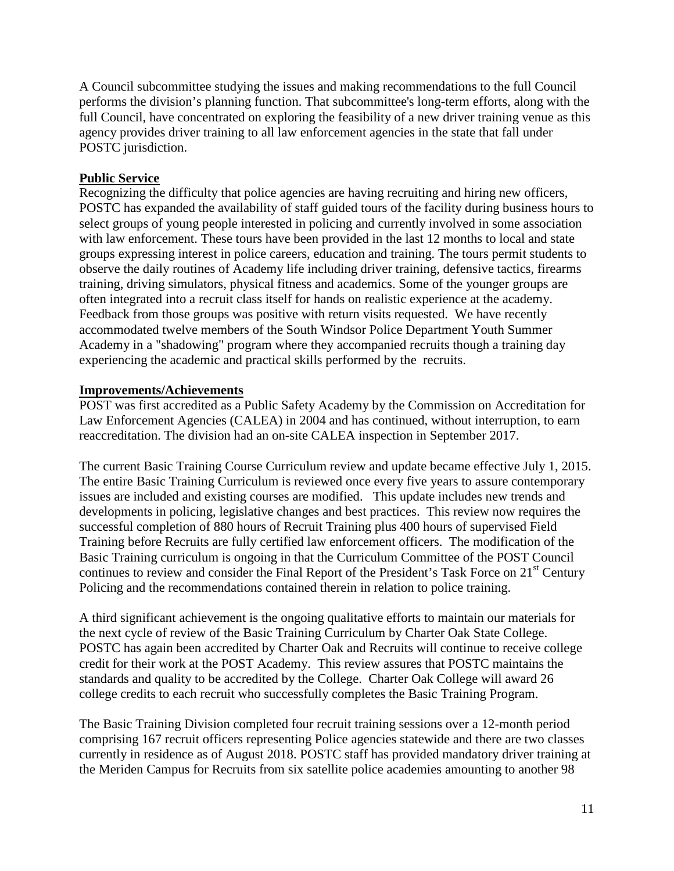A Council subcommittee studying the issues and making recommendations to the full Council performs the division's planning function. That subcommittee's long-term efforts, along with the full Council, have concentrated on exploring the feasibility of a new driver training venue as this agency provides driver training to all law enforcement agencies in the state that fall under POSTC jurisdiction.

#### **Public Service**

Recognizing the difficulty that police agencies are having recruiting and hiring new officers, POSTC has expanded the availability of staff guided tours of the facility during business hours to select groups of young people interested in policing and currently involved in some association with law enforcement. These tours have been provided in the last 12 months to local and state groups expressing interest in police careers, education and training. The tours permit students to observe the daily routines of Academy life including driver training, defensive tactics, firearms training, driving simulators, physical fitness and academics. Some of the younger groups are often integrated into a recruit class itself for hands on realistic experience at the academy. Feedback from those groups was positive with return visits requested. We have recently accommodated twelve members of the South Windsor Police Department Youth Summer Academy in a "shadowing" program where they accompanied recruits though a training day experiencing the academic and practical skills performed by the recruits.

#### **Improvements/Achievements**

POST was first accredited as a Public Safety Academy by the Commission on Accreditation for Law Enforcement Agencies (CALEA) in 2004 and has continued, without interruption, to earn reaccreditation. The division had an on-site CALEA inspection in September 2017.

The current Basic Training Course Curriculum review and update became effective July 1, 2015. The entire Basic Training Curriculum is reviewed once every five years to assure contemporary issues are included and existing courses are modified. This update includes new trends and developments in policing, legislative changes and best practices. This review now requires the successful completion of 880 hours of Recruit Training plus 400 hours of supervised Field Training before Recruits are fully certified law enforcement officers. The modification of the Basic Training curriculum is ongoing in that the Curriculum Committee of the POST Council continues to review and consider the Final Report of the President's Task Force on 21<sup>st</sup> Century Policing and the recommendations contained therein in relation to police training.

A third significant achievement is the ongoing qualitative efforts to maintain our materials for the next cycle of review of the Basic Training Curriculum by Charter Oak State College. POSTC has again been accredited by Charter Oak and Recruits will continue to receive college credit for their work at the POST Academy. This review assures that POSTC maintains the standards and quality to be accredited by the College. Charter Oak College will award 26 college credits to each recruit who successfully completes the Basic Training Program.

The Basic Training Division completed four recruit training sessions over a 12-month period comprising 167 recruit officers representing Police agencies statewide and there are two classes currently in residence as of August 2018. POSTC staff has provided mandatory driver training at the Meriden Campus for Recruits from six satellite police academies amounting to another 98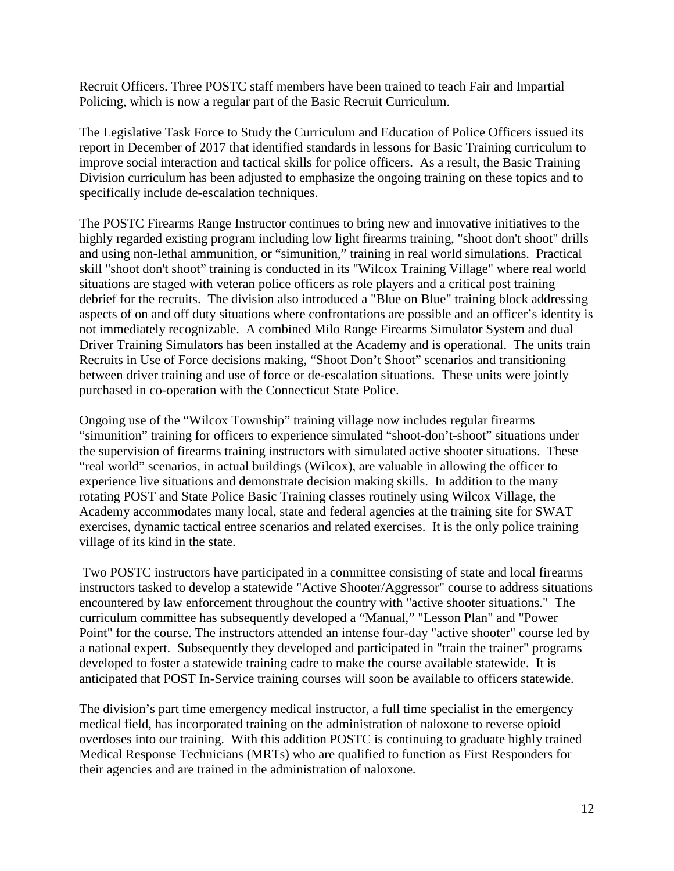Recruit Officers. Three POSTC staff members have been trained to teach Fair and Impartial Policing, which is now a regular part of the Basic Recruit Curriculum.

The Legislative Task Force to Study the Curriculum and Education of Police Officers issued its report in December of 2017 that identified standards in lessons for Basic Training curriculum to improve social interaction and tactical skills for police officers. As a result, the Basic Training Division curriculum has been adjusted to emphasize the ongoing training on these topics and to specifically include de-escalation techniques.

The POSTC Firearms Range Instructor continues to bring new and innovative initiatives to the highly regarded existing program including low light firearms training, "shoot don't shoot" drills and using non-lethal ammunition, or "simunition," training in real world simulations. Practical skill "shoot don't shoot" training is conducted in its "Wilcox Training Village" where real world situations are staged with veteran police officers as role players and a critical post training debrief for the recruits. The division also introduced a "Blue on Blue" training block addressing aspects of on and off duty situations where confrontations are possible and an officer's identity is not immediately recognizable. A combined Milo Range Firearms Simulator System and dual Driver Training Simulators has been installed at the Academy and is operational. The units train Recruits in Use of Force decisions making, "Shoot Don't Shoot" scenarios and transitioning between driver training and use of force or de-escalation situations. These units were jointly purchased in co-operation with the Connecticut State Police.

Ongoing use of the "Wilcox Township" training village now includes regular firearms "simunition" training for officers to experience simulated "shoot-don't-shoot" situations under the supervision of firearms training instructors with simulated active shooter situations. These "real world" scenarios, in actual buildings (Wilcox), are valuable in allowing the officer to experience live situations and demonstrate decision making skills. In addition to the many rotating POST and State Police Basic Training classes routinely using Wilcox Village, the Academy accommodates many local, state and federal agencies at the training site for SWAT exercises, dynamic tactical entree scenarios and related exercises. It is the only police training village of its kind in the state.

Two POSTC instructors have participated in a committee consisting of state and local firearms instructors tasked to develop a statewide "Active Shooter/Aggressor" course to address situations encountered by law enforcement throughout the country with "active shooter situations." The curriculum committee has subsequently developed a "Manual," "Lesson Plan" and "Power Point" for the course. The instructors attended an intense four-day "active shooter" course led by a national expert. Subsequently they developed and participated in "train the trainer" programs developed to foster a statewide training cadre to make the course available statewide. It is anticipated that POST In-Service training courses will soon be available to officers statewide.

The division's part time emergency medical instructor, a full time specialist in the emergency medical field, has incorporated training on the administration of naloxone to reverse opioid overdoses into our training. With this addition POSTC is continuing to graduate highly trained Medical Response Technicians (MRTs) who are qualified to function as First Responders for their agencies and are trained in the administration of naloxone.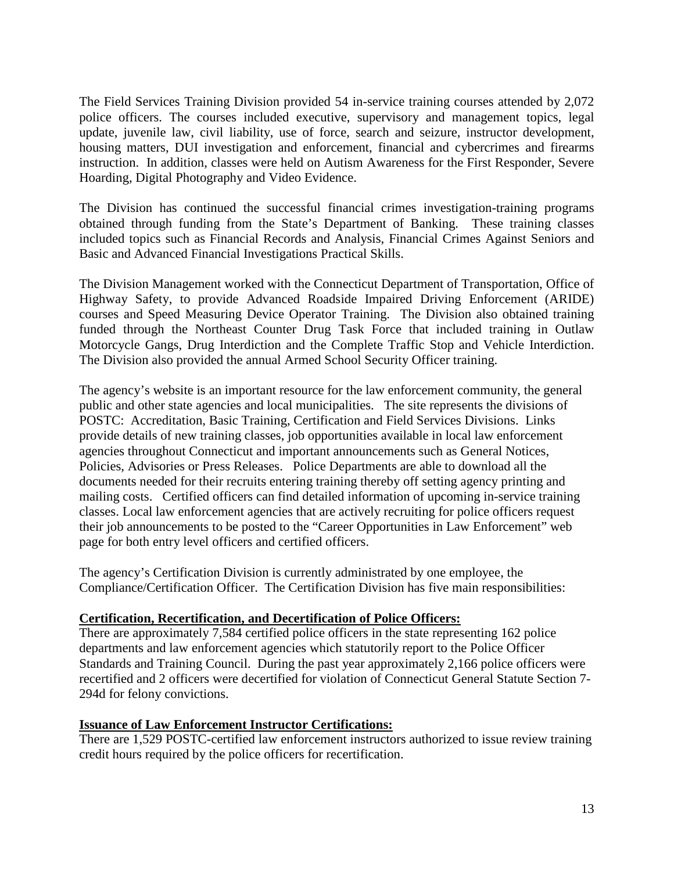The Field Services Training Division provided 54 in-service training courses attended by 2,072 police officers. The courses included executive, supervisory and management topics, legal update, juvenile law, civil liability, use of force, search and seizure, instructor development, housing matters, DUI investigation and enforcement, financial and cybercrimes and firearms instruction. In addition, classes were held on Autism Awareness for the First Responder, Severe Hoarding, Digital Photography and Video Evidence.

The Division has continued the successful financial crimes investigation-training programs obtained through funding from the State's Department of Banking. These training classes included topics such as Financial Records and Analysis, Financial Crimes Against Seniors and Basic and Advanced Financial Investigations Practical Skills.

The Division Management worked with the Connecticut Department of Transportation, Office of Highway Safety, to provide Advanced Roadside Impaired Driving Enforcement (ARIDE) courses and Speed Measuring Device Operator Training. The Division also obtained training funded through the Northeast Counter Drug Task Force that included training in Outlaw Motorcycle Gangs, Drug Interdiction and the Complete Traffic Stop and Vehicle Interdiction. The Division also provided the annual Armed School Security Officer training.

The agency's website is an important resource for the law enforcement community, the general public and other state agencies and local municipalities. The site represents the divisions of POSTC: Accreditation, Basic Training, Certification and Field Services Divisions. Links provide details of new training classes, job opportunities available in local law enforcement agencies throughout Connecticut and important announcements such as General Notices, Policies, Advisories or Press Releases. Police Departments are able to download all the documents needed for their recruits entering training thereby off setting agency printing and mailing costs. Certified officers can find detailed information of upcoming in-service training classes. Local law enforcement agencies that are actively recruiting for police officers request their job announcements to be posted to the "Career Opportunities in Law Enforcement" web page for both entry level officers and certified officers.

The agency's Certification Division is currently administrated by one employee, the Compliance/Certification Officer. The Certification Division has five main responsibilities:

#### **Certification, Recertification, and Decertification of Police Officers:**

There are approximately 7,584 certified police officers in the state representing 162 police departments and law enforcement agencies which statutorily report to the Police Officer Standards and Training Council. During the past year approximately 2,166 police officers were recertified and 2 officers were decertified for violation of Connecticut General Statute Section 7- 294d for felony convictions.

#### **Issuance of Law Enforcement Instructor Certifications:**

There are 1,529 POSTC-certified law enforcement instructors authorized to issue review training credit hours required by the police officers for recertification.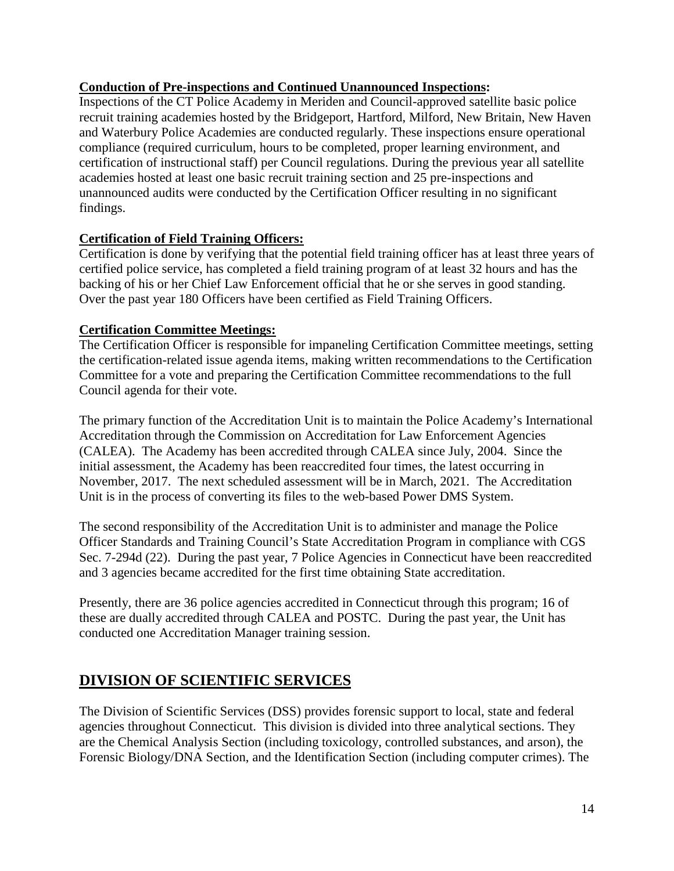## **Conduction of Pre-inspections and Continued Unannounced Inspections:**

Inspections of the CT Police Academy in Meriden and Council-approved satellite basic police recruit training academies hosted by the Bridgeport, Hartford, Milford, New Britain, New Haven and Waterbury Police Academies are conducted regularly. These inspections ensure operational compliance (required curriculum, hours to be completed, proper learning environment, and certification of instructional staff) per Council regulations. During the previous year all satellite academies hosted at least one basic recruit training section and 25 pre-inspections and unannounced audits were conducted by the Certification Officer resulting in no significant findings.

## **Certification of Field Training Officers:**

Certification is done by verifying that the potential field training officer has at least three years of certified police service, has completed a field training program of at least 32 hours and has the backing of his or her Chief Law Enforcement official that he or she serves in good standing. Over the past year 180 Officers have been certified as Field Training Officers.

#### **Certification Committee Meetings:**

The Certification Officer is responsible for impaneling Certification Committee meetings, setting the certification-related issue agenda items, making written recommendations to the Certification Committee for a vote and preparing the Certification Committee recommendations to the full Council agenda for their vote.

The primary function of the Accreditation Unit is to maintain the Police Academy's International Accreditation through the Commission on Accreditation for Law Enforcement Agencies (CALEA). The Academy has been accredited through CALEA since July, 2004. Since the initial assessment, the Academy has been reaccredited four times, the latest occurring in November, 2017. The next scheduled assessment will be in March, 2021. The Accreditation Unit is in the process of converting its files to the web-based Power DMS System.

The second responsibility of the Accreditation Unit is to administer and manage the Police Officer Standards and Training Council's State Accreditation Program in compliance with CGS Sec. 7-294d (22). During the past year, 7 Police Agencies in Connecticut have been reaccredited and 3 agencies became accredited for the first time obtaining State accreditation.

Presently, there are 36 police agencies accredited in Connecticut through this program; 16 of these are dually accredited through CALEA and POSTC. During the past year, the Unit has conducted one Accreditation Manager training session.

# **DIVISION OF SCIENTIFIC SERVICES**

The Division of Scientific Services (DSS) provides forensic support to local, state and federal agencies throughout Connecticut. This division is divided into three analytical sections. They are the Chemical Analysis Section (including toxicology, controlled substances, and arson), the Forensic Biology/DNA Section, and the Identification Section (including computer crimes). The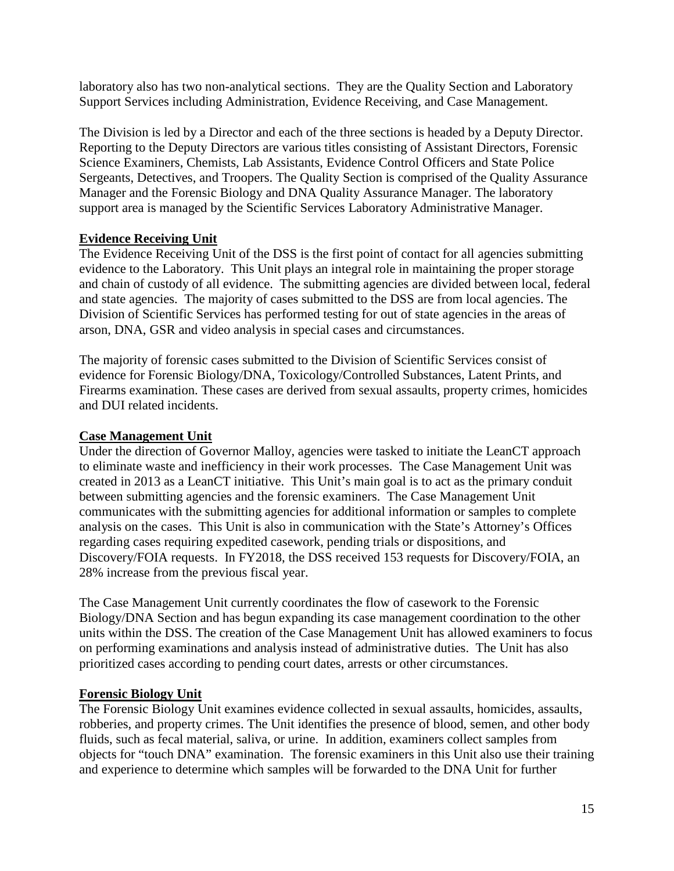laboratory also has two non-analytical sections. They are the Quality Section and Laboratory Support Services including Administration, Evidence Receiving, and Case Management.

The Division is led by a Director and each of the three sections is headed by a Deputy Director. Reporting to the Deputy Directors are various titles consisting of Assistant Directors, Forensic Science Examiners, Chemists, Lab Assistants, Evidence Control Officers and State Police Sergeants, Detectives, and Troopers. The Quality Section is comprised of the Quality Assurance Manager and the Forensic Biology and DNA Quality Assurance Manager. The laboratory support area is managed by the Scientific Services Laboratory Administrative Manager.

## **Evidence Receiving Unit**

The Evidence Receiving Unit of the DSS is the first point of contact for all agencies submitting evidence to the Laboratory. This Unit plays an integral role in maintaining the proper storage and chain of custody of all evidence. The submitting agencies are divided between local, federal and state agencies. The majority of cases submitted to the DSS are from local agencies. The Division of Scientific Services has performed testing for out of state agencies in the areas of arson, DNA, GSR and video analysis in special cases and circumstances.

The majority of forensic cases submitted to the Division of Scientific Services consist of evidence for Forensic Biology/DNA, Toxicology/Controlled Substances, Latent Prints, and Firearms examination. These cases are derived from sexual assaults, property crimes, homicides and DUI related incidents.

## **Case Management Unit**

Under the direction of Governor Malloy, agencies were tasked to initiate the LeanCT approach to eliminate waste and inefficiency in their work processes. The Case Management Unit was created in 2013 as a LeanCT initiative. This Unit's main goal is to act as the primary conduit between submitting agencies and the forensic examiners. The Case Management Unit communicates with the submitting agencies for additional information or samples to complete analysis on the cases. This Unit is also in communication with the State's Attorney's Offices regarding cases requiring expedited casework, pending trials or dispositions, and Discovery/FOIA requests. In FY2018, the DSS received 153 requests for Discovery/FOIA, an 28% increase from the previous fiscal year.

The Case Management Unit currently coordinates the flow of casework to the Forensic Biology/DNA Section and has begun expanding its case management coordination to the other units within the DSS. The creation of the Case Management Unit has allowed examiners to focus on performing examinations and analysis instead of administrative duties. The Unit has also prioritized cases according to pending court dates, arrests or other circumstances.

## **Forensic Biology Unit**

The Forensic Biology Unit examines evidence collected in sexual assaults, homicides, assaults, robberies, and property crimes. The Unit identifies the presence of blood, semen, and other body fluids, such as fecal material, saliva, or urine. In addition, examiners collect samples from objects for "touch DNA" examination. The forensic examiners in this Unit also use their training and experience to determine which samples will be forwarded to the DNA Unit for further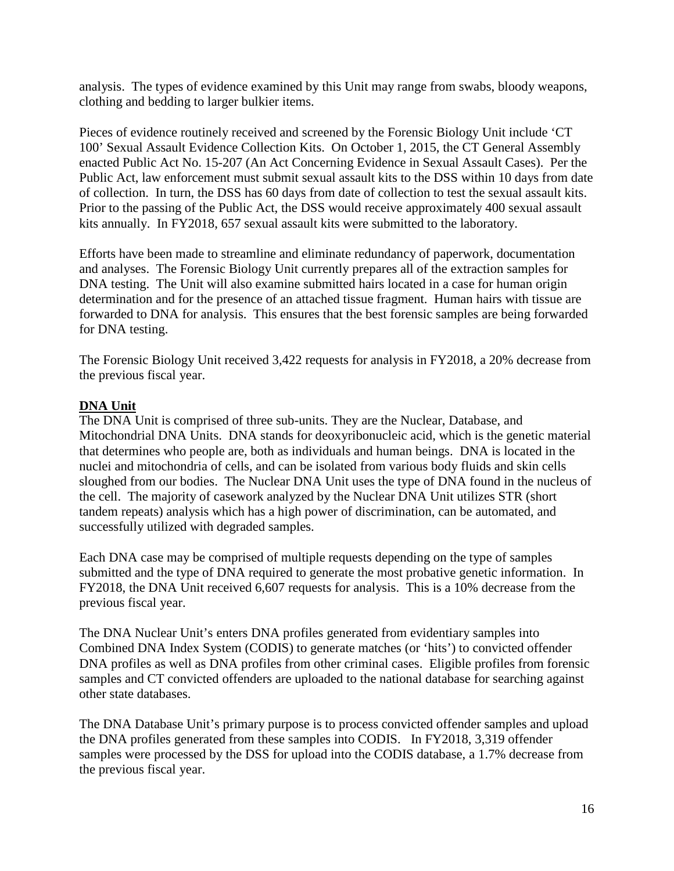analysis. The types of evidence examined by this Unit may range from swabs, bloody weapons, clothing and bedding to larger bulkier items.

Pieces of evidence routinely received and screened by the Forensic Biology Unit include 'CT 100' Sexual Assault Evidence Collection Kits. On October 1, 2015, the CT General Assembly enacted Public Act No. 15-207 (An Act Concerning Evidence in Sexual Assault Cases). Per the Public Act, law enforcement must submit sexual assault kits to the DSS within 10 days from date of collection. In turn, the DSS has 60 days from date of collection to test the sexual assault kits. Prior to the passing of the Public Act, the DSS would receive approximately 400 sexual assault kits annually. In FY2018, 657 sexual assault kits were submitted to the laboratory.

Efforts have been made to streamline and eliminate redundancy of paperwork, documentation and analyses. The Forensic Biology Unit currently prepares all of the extraction samples for DNA testing. The Unit will also examine submitted hairs located in a case for human origin determination and for the presence of an attached tissue fragment. Human hairs with tissue are forwarded to DNA for analysis. This ensures that the best forensic samples are being forwarded for DNA testing.

The Forensic Biology Unit received 3,422 requests for analysis in FY2018, a 20% decrease from the previous fiscal year.

## **DNA Unit**

The DNA Unit is comprised of three sub-units. They are the Nuclear, Database, and Mitochondrial DNA Units. DNA stands for deoxyribonucleic acid, which is the genetic material that determines who people are, both as individuals and human beings. DNA is located in the nuclei and mitochondria of cells, and can be isolated from various body fluids and skin cells sloughed from our bodies. The Nuclear DNA Unit uses the type of DNA found in the nucleus of the cell. The majority of casework analyzed by the Nuclear DNA Unit utilizes STR (short tandem repeats) analysis which has a high power of discrimination, can be automated, and successfully utilized with degraded samples.

Each DNA case may be comprised of multiple requests depending on the type of samples submitted and the type of DNA required to generate the most probative genetic information. In FY2018, the DNA Unit received 6,607 requests for analysis. This is a 10% decrease from the previous fiscal year.

The DNA Nuclear Unit's enters DNA profiles generated from evidentiary samples into Combined DNA Index System (CODIS) to generate matches (or 'hits') to convicted offender DNA profiles as well as DNA profiles from other criminal cases. Eligible profiles from forensic samples and CT convicted offenders are uploaded to the national database for searching against other state databases.

The DNA Database Unit's primary purpose is to process convicted offender samples and upload the DNA profiles generated from these samples into CODIS. In FY2018, 3,319 offender samples were processed by the DSS for upload into the CODIS database, a 1.7% decrease from the previous fiscal year.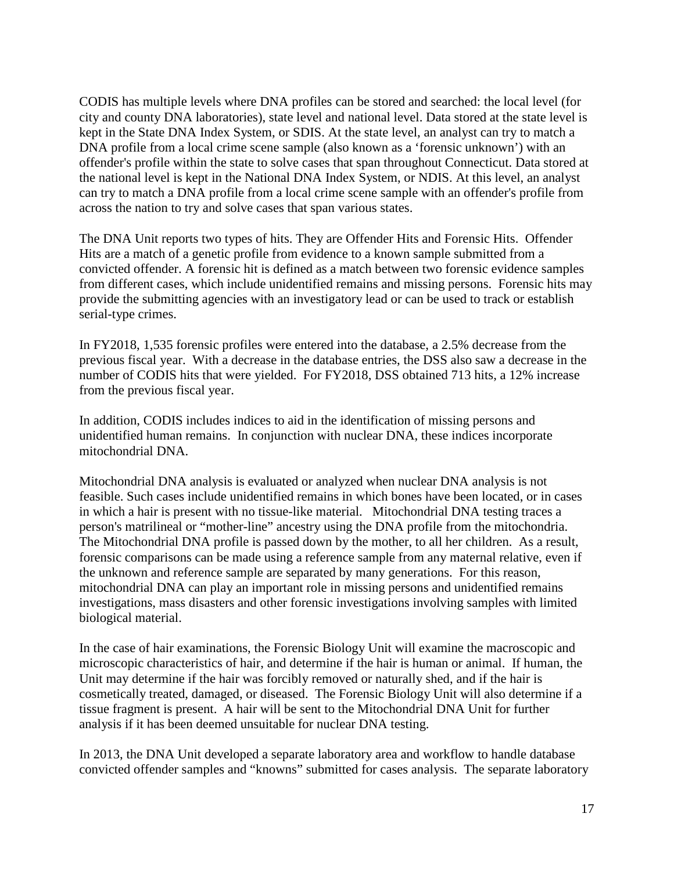CODIS has multiple levels where DNA profiles can be stored and searched: the local level (for city and county DNA laboratories), state level and national level. Data stored at the state level is kept in the State DNA Index System, or SDIS. At the state level, an analyst can try to match a DNA profile from a local crime scene sample (also known as a 'forensic unknown') with an offender's profile within the state to solve cases that span throughout Connecticut. Data stored at the national level is kept in the National DNA Index System, or NDIS. At this level, an analyst can try to match a DNA profile from a local crime scene sample with an offender's profile from across the nation to try and solve cases that span various states.

The DNA Unit reports two types of hits. They are Offender Hits and Forensic Hits. Offender Hits are a match of a genetic profile from evidence to a known sample submitted from a convicted offender. A forensic hit is defined as a match between two forensic evidence samples from different cases, which include unidentified remains and missing persons. Forensic hits may provide the submitting agencies with an investigatory lead or can be used to track or establish serial-type crimes.

In FY2018, 1,535 forensic profiles were entered into the database, a 2.5% decrease from the previous fiscal year. With a decrease in the database entries, the DSS also saw a decrease in the number of CODIS hits that were yielded. For FY2018, DSS obtained 713 hits, a 12% increase from the previous fiscal year.

In addition, CODIS includes indices to aid in the identification of missing persons and unidentified human remains. In conjunction with nuclear DNA, these indices incorporate mitochondrial DNA.

Mitochondrial DNA analysis is evaluated or analyzed when nuclear DNA analysis is not feasible. Such cases include unidentified remains in which bones have been located, or in cases in which a hair is present with no tissue-like material. Mitochondrial DNA testing traces a person's matrilineal or "mother-line" ancestry using the DNA profile from the mitochondria. The Mitochondrial DNA profile is passed down by the mother, to all her children. As a result, forensic comparisons can be made using a reference sample from any maternal relative, even if the unknown and reference sample are separated by many generations. For this reason, mitochondrial DNA can play an important role in missing persons and unidentified remains investigations, mass disasters and other forensic investigations involving samples with limited biological material.

In the case of hair examinations, the Forensic Biology Unit will examine the macroscopic and microscopic characteristics of hair, and determine if the hair is human or animal. If human, the Unit may determine if the hair was forcibly removed or naturally shed, and if the hair is cosmetically treated, damaged, or diseased. The Forensic Biology Unit will also determine if a tissue fragment is present. A hair will be sent to the Mitochondrial DNA Unit for further analysis if it has been deemed unsuitable for nuclear DNA testing.

In 2013, the DNA Unit developed a separate laboratory area and workflow to handle database convicted offender samples and "knowns" submitted for cases analysis. The separate laboratory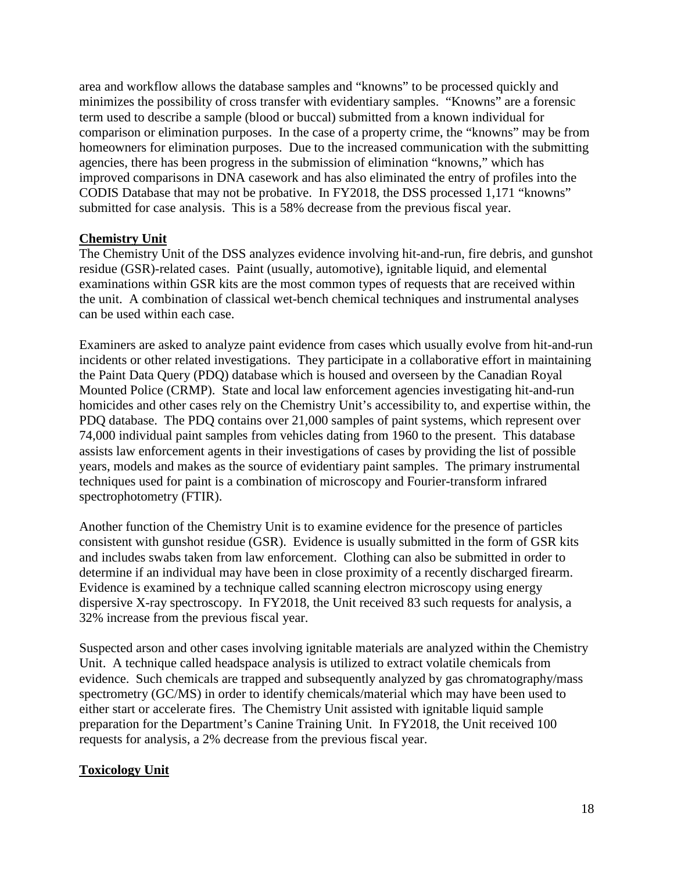area and workflow allows the database samples and "knowns" to be processed quickly and minimizes the possibility of cross transfer with evidentiary samples. "Knowns" are a forensic term used to describe a sample (blood or buccal) submitted from a known individual for comparison or elimination purposes. In the case of a property crime, the "knowns" may be from homeowners for elimination purposes. Due to the increased communication with the submitting agencies, there has been progress in the submission of elimination "knowns," which has improved comparisons in DNA casework and has also eliminated the entry of profiles into the CODIS Database that may not be probative. In FY2018, the DSS processed 1,171 "knowns" submitted for case analysis. This is a 58% decrease from the previous fiscal year.

#### **Chemistry Unit**

The Chemistry Unit of the DSS analyzes evidence involving hit-and-run, fire debris, and gunshot residue (GSR)-related cases. Paint (usually, automotive), ignitable liquid, and elemental examinations within GSR kits are the most common types of requests that are received within the unit. A combination of classical wet-bench chemical techniques and instrumental analyses can be used within each case.

Examiners are asked to analyze paint evidence from cases which usually evolve from hit-and-run incidents or other related investigations. They participate in a collaborative effort in maintaining the Paint Data Query (PDQ) database which is housed and overseen by the Canadian Royal Mounted Police (CRMP). State and local law enforcement agencies investigating hit-and-run homicides and other cases rely on the Chemistry Unit's accessibility to, and expertise within, the PDQ database. The PDQ contains over 21,000 samples of paint systems, which represent over 74,000 individual paint samples from vehicles dating from 1960 to the present. This database assists law enforcement agents in their investigations of cases by providing the list of possible years, models and makes as the source of evidentiary paint samples. The primary instrumental techniques used for paint is a combination of microscopy and Fourier-transform infrared spectrophotometry (FTIR).

Another function of the Chemistry Unit is to examine evidence for the presence of particles consistent with gunshot residue (GSR). Evidence is usually submitted in the form of GSR kits and includes swabs taken from law enforcement. Clothing can also be submitted in order to determine if an individual may have been in close proximity of a recently discharged firearm. Evidence is examined by a technique called scanning electron microscopy using energy dispersive X-ray spectroscopy. In FY2018, the Unit received 83 such requests for analysis, a 32% increase from the previous fiscal year.

Suspected arson and other cases involving ignitable materials are analyzed within the Chemistry Unit. A technique called headspace analysis is utilized to extract volatile chemicals from evidence. Such chemicals are trapped and subsequently analyzed by gas chromatography/mass spectrometry (GC/MS) in order to identify chemicals/material which may have been used to either start or accelerate fires. The Chemistry Unit assisted with ignitable liquid sample preparation for the Department's Canine Training Unit. In FY2018, the Unit received 100 requests for analysis, a 2% decrease from the previous fiscal year.

## **Toxicology Unit**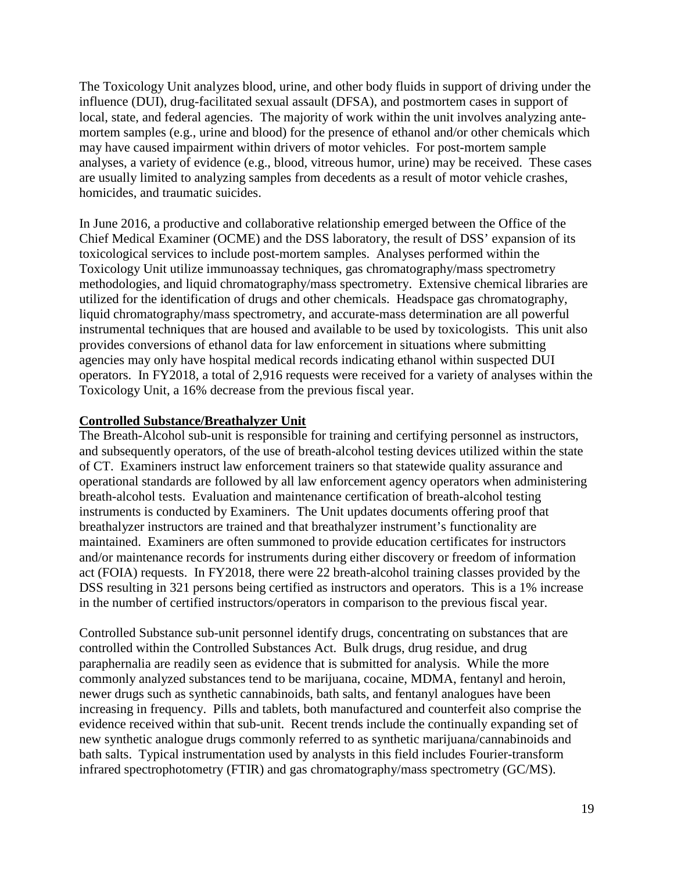The Toxicology Unit analyzes blood, urine, and other body fluids in support of driving under the influence (DUI), drug-facilitated sexual assault (DFSA), and postmortem cases in support of local, state, and federal agencies. The majority of work within the unit involves analyzing antemortem samples (e.g., urine and blood) for the presence of ethanol and/or other chemicals which may have caused impairment within drivers of motor vehicles. For post-mortem sample analyses, a variety of evidence (e.g., blood, vitreous humor, urine) may be received. These cases are usually limited to analyzing samples from decedents as a result of motor vehicle crashes, homicides, and traumatic suicides.

In June 2016, a productive and collaborative relationship emerged between the Office of the Chief Medical Examiner (OCME) and the DSS laboratory, the result of DSS' expansion of its toxicological services to include post-mortem samples. Analyses performed within the Toxicology Unit utilize immunoassay techniques, gas chromatography/mass spectrometry methodologies, and liquid chromatography/mass spectrometry. Extensive chemical libraries are utilized for the identification of drugs and other chemicals. Headspace gas chromatography, liquid chromatography/mass spectrometry, and accurate-mass determination are all powerful instrumental techniques that are housed and available to be used by toxicologists. This unit also provides conversions of ethanol data for law enforcement in situations where submitting agencies may only have hospital medical records indicating ethanol within suspected DUI operators. In FY2018, a total of 2,916 requests were received for a variety of analyses within the Toxicology Unit, a 16% decrease from the previous fiscal year.

#### **Controlled Substance/Breathalyzer Unit**

The Breath-Alcohol sub-unit is responsible for training and certifying personnel as instructors, and subsequently operators, of the use of breath-alcohol testing devices utilized within the state of CT. Examiners instruct law enforcement trainers so that statewide quality assurance and operational standards are followed by all law enforcement agency operators when administering breath-alcohol tests. Evaluation and maintenance certification of breath-alcohol testing instruments is conducted by Examiners. The Unit updates documents offering proof that breathalyzer instructors are trained and that breathalyzer instrument's functionality are maintained. Examiners are often summoned to provide education certificates for instructors and/or maintenance records for instruments during either discovery or freedom of information act (FOIA) requests. In FY2018, there were 22 breath-alcohol training classes provided by the DSS resulting in 321 persons being certified as instructors and operators. This is a 1% increase in the number of certified instructors/operators in comparison to the previous fiscal year.

Controlled Substance sub-unit personnel identify drugs, concentrating on substances that are controlled within the Controlled Substances Act. Bulk drugs, drug residue, and drug paraphernalia are readily seen as evidence that is submitted for analysis. While the more commonly analyzed substances tend to be marijuana, cocaine, MDMA, fentanyl and heroin, newer drugs such as synthetic cannabinoids, bath salts, and fentanyl analogues have been increasing in frequency. Pills and tablets, both manufactured and counterfeit also comprise the evidence received within that sub-unit. Recent trends include the continually expanding set of new synthetic analogue drugs commonly referred to as synthetic marijuana/cannabinoids and bath salts. Typical instrumentation used by analysts in this field includes Fourier-transform infrared spectrophotometry (FTIR) and gas chromatography/mass spectrometry (GC/MS).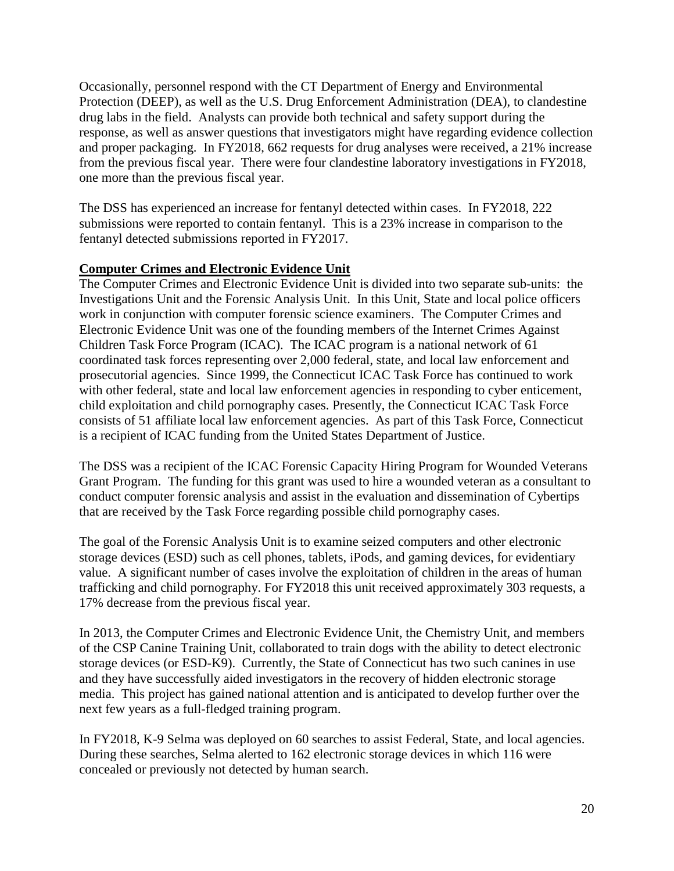Occasionally, personnel respond with the CT Department of Energy and Environmental Protection (DEEP), as well as the U.S. Drug Enforcement Administration (DEA), to clandestine drug labs in the field. Analysts can provide both technical and safety support during the response, as well as answer questions that investigators might have regarding evidence collection and proper packaging. In FY2018, 662 requests for drug analyses were received, a 21% increase from the previous fiscal year. There were four clandestine laboratory investigations in FY2018, one more than the previous fiscal year.

The DSS has experienced an increase for fentanyl detected within cases. In FY2018, 222 submissions were reported to contain fentanyl. This is a 23% increase in comparison to the fentanyl detected submissions reported in FY2017.

## **Computer Crimes and Electronic Evidence Unit**

The Computer Crimes and Electronic Evidence Unit is divided into two separate sub-units: the Investigations Unit and the Forensic Analysis Unit. In this Unit, State and local police officers work in conjunction with computer forensic science examiners. The Computer Crimes and Electronic Evidence Unit was one of the founding members of the Internet Crimes Against Children Task Force Program (ICAC). The ICAC program is a national network of 61 coordinated task forces representing over 2,000 federal, state, and local law enforcement and prosecutorial agencies. Since 1999, the Connecticut ICAC Task Force has continued to work with other federal, state and local law enforcement agencies in responding to cyber enticement, child exploitation and child pornography cases. Presently, the Connecticut ICAC Task Force consists of 51 affiliate local law enforcement agencies. As part of this Task Force, Connecticut is a recipient of ICAC funding from the United States Department of Justice.

The DSS was a recipient of the ICAC Forensic Capacity Hiring Program for Wounded Veterans Grant Program. The funding for this grant was used to hire a wounded veteran as a consultant to conduct computer forensic analysis and assist in the evaluation and dissemination of Cybertips that are received by the Task Force regarding possible child pornography cases.

The goal of the Forensic Analysis Unit is to examine seized computers and other electronic storage devices (ESD) such as cell phones, tablets, iPods, and gaming devices, for evidentiary value. A significant number of cases involve the exploitation of children in the areas of human trafficking and child pornography. For FY2018 this unit received approximately 303 requests, a 17% decrease from the previous fiscal year.

In 2013, the Computer Crimes and Electronic Evidence Unit, the Chemistry Unit, and members of the CSP Canine Training Unit, collaborated to train dogs with the ability to detect electronic storage devices (or ESD-K9). Currently, the State of Connecticut has two such canines in use and they have successfully aided investigators in the recovery of hidden electronic storage media. This project has gained national attention and is anticipated to develop further over the next few years as a full-fledged training program.

In FY2018, K-9 Selma was deployed on 60 searches to assist Federal, State, and local agencies. During these searches, Selma alerted to 162 electronic storage devices in which 116 were concealed or previously not detected by human search.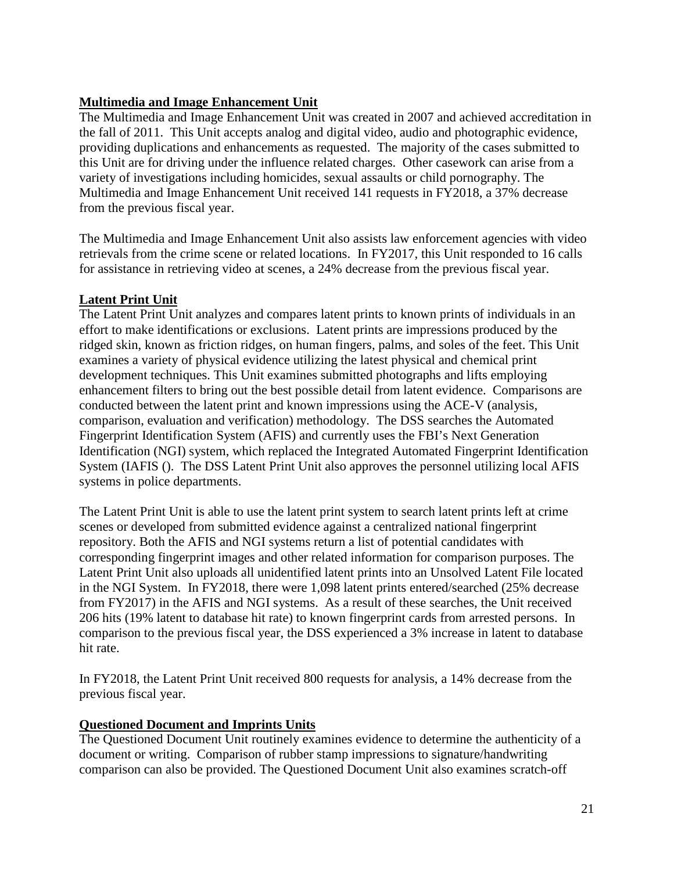## **Multimedia and Image Enhancement Unit**

The Multimedia and Image Enhancement Unit was created in 2007 and achieved accreditation in the fall of 2011. This Unit accepts analog and digital video, audio and photographic evidence, providing duplications and enhancements as requested. The majority of the cases submitted to this Unit are for driving under the influence related charges. Other casework can arise from a variety of investigations including homicides, sexual assaults or child pornography. The Multimedia and Image Enhancement Unit received 141 requests in FY2018, a 37% decrease from the previous fiscal year.

The Multimedia and Image Enhancement Unit also assists law enforcement agencies with video retrievals from the crime scene or related locations. In FY2017, this Unit responded to 16 calls for assistance in retrieving video at scenes, a 24% decrease from the previous fiscal year.

## **Latent Print Unit**

The Latent Print Unit analyzes and compares latent prints to known prints of individuals in an effort to make identifications or exclusions. Latent prints are impressions produced by the ridged skin, known as friction ridges, on human fingers, palms, and soles of the feet. This Unit examines a variety of physical evidence utilizing the latest physical and chemical print development techniques. This Unit examines submitted photographs and lifts employing enhancement filters to bring out the best possible detail from latent evidence. Comparisons are conducted between the latent print and known impressions using the ACE-V (analysis, comparison, evaluation and verification) methodology. The DSS searches the Automated Fingerprint Identification System (AFIS) and currently uses the FBI's Next Generation Identification (NGI) system, which replaced the Integrated Automated Fingerprint Identification System (IAFIS (). The DSS Latent Print Unit also approves the personnel utilizing local AFIS systems in police departments.

The Latent Print Unit is able to use the latent print system to search latent prints left at crime scenes or developed from submitted evidence against a centralized national fingerprint repository. Both the AFIS and NGI systems return a list of potential candidates with corresponding fingerprint images and other related information for comparison purposes. The Latent Print Unit also uploads all unidentified latent prints into an Unsolved Latent File located in the NGI System. In FY2018, there were 1,098 latent prints entered/searched (25% decrease from FY2017) in the AFIS and NGI systems. As a result of these searches, the Unit received 206 hits (19% latent to database hit rate) to known fingerprint cards from arrested persons. In comparison to the previous fiscal year, the DSS experienced a 3% increase in latent to database hit rate.

In FY2018, the Latent Print Unit received 800 requests for analysis, a 14% decrease from the previous fiscal year.

## **Questioned Document and Imprints Units**

The Questioned Document Unit routinely examines evidence to determine the authenticity of a document or writing. Comparison of rubber stamp impressions to signature/handwriting comparison can also be provided. The Questioned Document Unit also examines scratch-off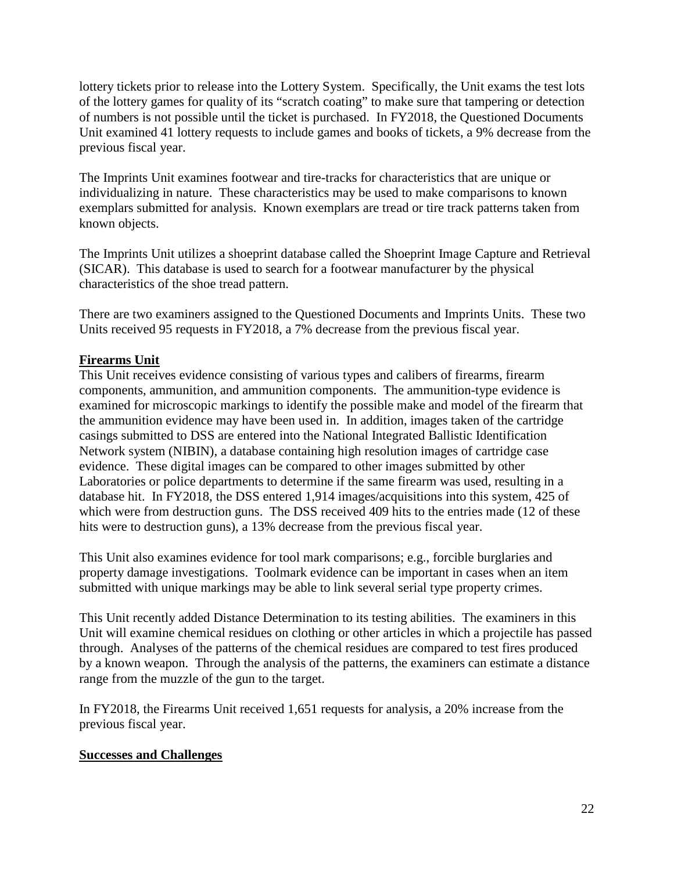lottery tickets prior to release into the Lottery System. Specifically, the Unit exams the test lots of the lottery games for quality of its "scratch coating" to make sure that tampering or detection of numbers is not possible until the ticket is purchased. In FY2018, the Questioned Documents Unit examined 41 lottery requests to include games and books of tickets, a 9% decrease from the previous fiscal year.

The Imprints Unit examines footwear and tire-tracks for characteristics that are unique or individualizing in nature. These characteristics may be used to make comparisons to known exemplars submitted for analysis. Known exemplars are tread or tire track patterns taken from known objects.

The Imprints Unit utilizes a shoeprint database called the Shoeprint Image Capture and Retrieval (SICAR). This database is used to search for a footwear manufacturer by the physical characteristics of the shoe tread pattern.

There are two examiners assigned to the Questioned Documents and Imprints Units. These two Units received 95 requests in FY2018, a 7% decrease from the previous fiscal year.

## **Firearms Unit**

This Unit receives evidence consisting of various types and calibers of firearms, firearm components, ammunition, and ammunition components. The ammunition-type evidence is examined for microscopic markings to identify the possible make and model of the firearm that the ammunition evidence may have been used in. In addition, images taken of the cartridge casings submitted to DSS are entered into the National Integrated Ballistic Identification Network system (NIBIN), a database containing high resolution images of cartridge case evidence. These digital images can be compared to other images submitted by other Laboratories or police departments to determine if the same firearm was used, resulting in a database hit. In FY2018, the DSS entered 1,914 images/acquisitions into this system, 425 of which were from destruction guns. The DSS received 409 hits to the entries made (12 of these hits were to destruction guns), a 13% decrease from the previous fiscal year.

This Unit also examines evidence for tool mark comparisons; e.g., forcible burglaries and property damage investigations. Toolmark evidence can be important in cases when an item submitted with unique markings may be able to link several serial type property crimes.

This Unit recently added Distance Determination to its testing abilities. The examiners in this Unit will examine chemical residues on clothing or other articles in which a projectile has passed through. Analyses of the patterns of the chemical residues are compared to test fires produced by a known weapon. Through the analysis of the patterns, the examiners can estimate a distance range from the muzzle of the gun to the target.

In FY2018, the Firearms Unit received 1,651 requests for analysis, a 20% increase from the previous fiscal year.

#### **Successes and Challenges**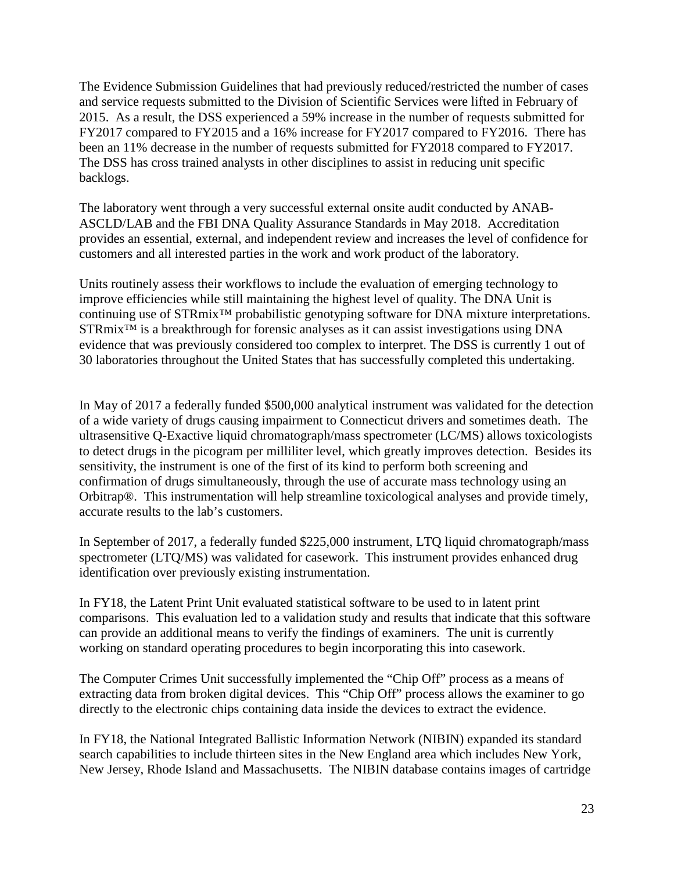The Evidence Submission Guidelines that had previously reduced/restricted the number of cases and service requests submitted to the Division of Scientific Services were lifted in February of 2015. As a result, the DSS experienced a 59% increase in the number of requests submitted for FY2017 compared to FY2015 and a 16% increase for FY2017 compared to FY2016. There has been an 11% decrease in the number of requests submitted for FY2018 compared to FY2017. The DSS has cross trained analysts in other disciplines to assist in reducing unit specific backlogs.

The laboratory went through a very successful external onsite audit conducted by ANAB-ASCLD/LAB and the FBI DNA Quality Assurance Standards in May 2018. Accreditation provides an essential, external, and independent review and increases the level of confidence for customers and all interested parties in the work and work product of the laboratory.

Units routinely assess their workflows to include the evaluation of emerging technology to improve efficiencies while still maintaining the highest level of quality. The DNA Unit is continuing use of STRmix™ probabilistic genotyping software for DNA mixture interpretations. STRmix<sup>™</sup> is a breakthrough for forensic analyses as it can assist investigations using DNA evidence that was previously considered too complex to interpret. The DSS is currently 1 out of 30 laboratories throughout the United States that has successfully completed this undertaking.

In May of 2017 a federally funded \$500,000 analytical instrument was validated for the detection of a wide variety of drugs causing impairment to Connecticut drivers and sometimes death. The ultrasensitive Q-Exactive liquid chromatograph/mass spectrometer (LC/MS) allows toxicologists to detect drugs in the picogram per milliliter level, which greatly improves detection. Besides its sensitivity, the instrument is one of the first of its kind to perform both screening and confirmation of drugs simultaneously, through the use of accurate mass technology using an Orbitrap®. This instrumentation will help streamline toxicological analyses and provide timely, accurate results to the lab's customers.

In September of 2017, a federally funded \$225,000 instrument, LTQ liquid chromatograph/mass spectrometer (LTQ/MS) was validated for casework. This instrument provides enhanced drug identification over previously existing instrumentation.

In FY18, the Latent Print Unit evaluated statistical software to be used to in latent print comparisons. This evaluation led to a validation study and results that indicate that this software can provide an additional means to verify the findings of examiners. The unit is currently working on standard operating procedures to begin incorporating this into casework.

The Computer Crimes Unit successfully implemented the "Chip Off" process as a means of extracting data from broken digital devices. This "Chip Off" process allows the examiner to go directly to the electronic chips containing data inside the devices to extract the evidence.

In FY18, the National Integrated Ballistic Information Network (NIBIN) expanded its standard search capabilities to include thirteen sites in the New England area which includes New York, New Jersey, Rhode Island and Massachusetts. The NIBIN database contains images of cartridge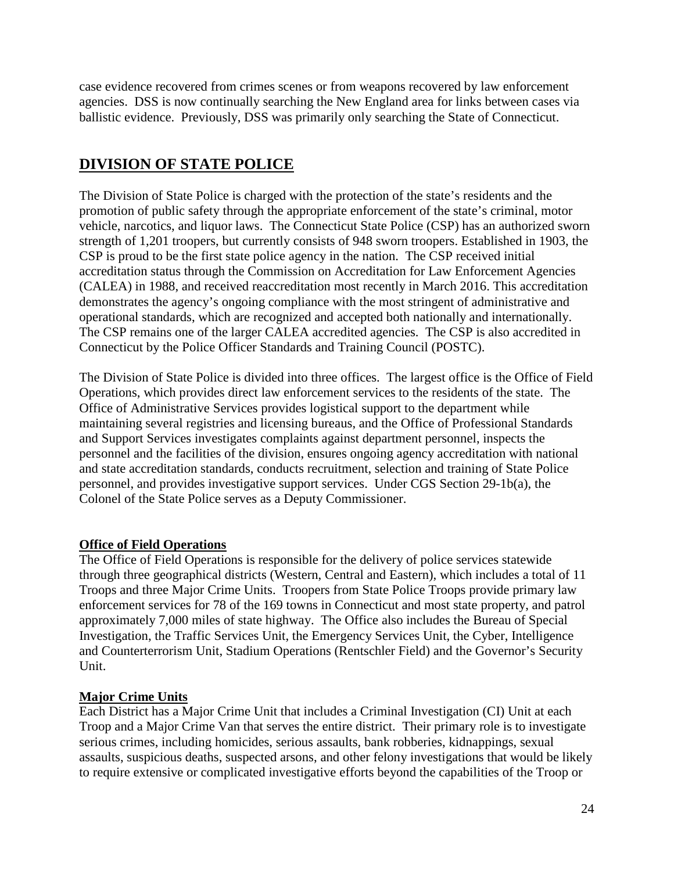case evidence recovered from crimes scenes or from weapons recovered by law enforcement agencies. DSS is now continually searching the New England area for links between cases via ballistic evidence. Previously, DSS was primarily only searching the State of Connecticut.

# **DIVISION OF STATE POLICE**

The Division of State Police is charged with the protection of the state's residents and the promotion of public safety through the appropriate enforcement of the state's criminal, motor vehicle, narcotics, and liquor laws. The Connecticut State Police (CSP) has an authorized sworn strength of 1,201 troopers, but currently consists of 948 sworn troopers. Established in 1903, the CSP is proud to be the first state police agency in the nation. The CSP received initial accreditation status through the Commission on Accreditation for Law Enforcement Agencies (CALEA) in 1988, and received reaccreditation most recently in March 2016. This accreditation demonstrates the agency's ongoing compliance with the most stringent of administrative and operational standards, which are recognized and accepted both nationally and internationally. The CSP remains one of the larger CALEA accredited agencies. The CSP is also accredited in Connecticut by the Police Officer Standards and Training Council (POSTC).

The Division of State Police is divided into three offices. The largest office is the Office of Field Operations, which provides direct law enforcement services to the residents of the state. The Office of Administrative Services provides logistical support to the department while maintaining several registries and licensing bureaus, and the Office of Professional Standards and Support Services investigates complaints against department personnel, inspects the personnel and the facilities of the division, ensures ongoing agency accreditation with national and state accreditation standards, conducts recruitment, selection and training of State Police personnel, and provides investigative support services. Under CGS Section 29-1b(a), the Colonel of the State Police serves as a Deputy Commissioner.

## **Office of Field Operations**

The Office of Field Operations is responsible for the delivery of police services statewide through three geographical districts (Western, Central and Eastern), which includes a total of 11 Troops and three Major Crime Units. Troopers from State Police Troops provide primary law enforcement services for 78 of the 169 towns in Connecticut and most state property, and patrol approximately 7,000 miles of state highway. The Office also includes the Bureau of Special Investigation, the Traffic Services Unit, the Emergency Services Unit, the Cyber, Intelligence and Counterterrorism Unit, Stadium Operations (Rentschler Field) and the Governor's Security Unit.

## **Major Crime Units**

Each District has a Major Crime Unit that includes a Criminal Investigation (CI) Unit at each Troop and a Major Crime Van that serves the entire district. Their primary role is to investigate serious crimes, including homicides, serious assaults, bank robberies, kidnappings, sexual assaults, suspicious deaths, suspected arsons, and other felony investigations that would be likely to require extensive or complicated investigative efforts beyond the capabilities of the Troop or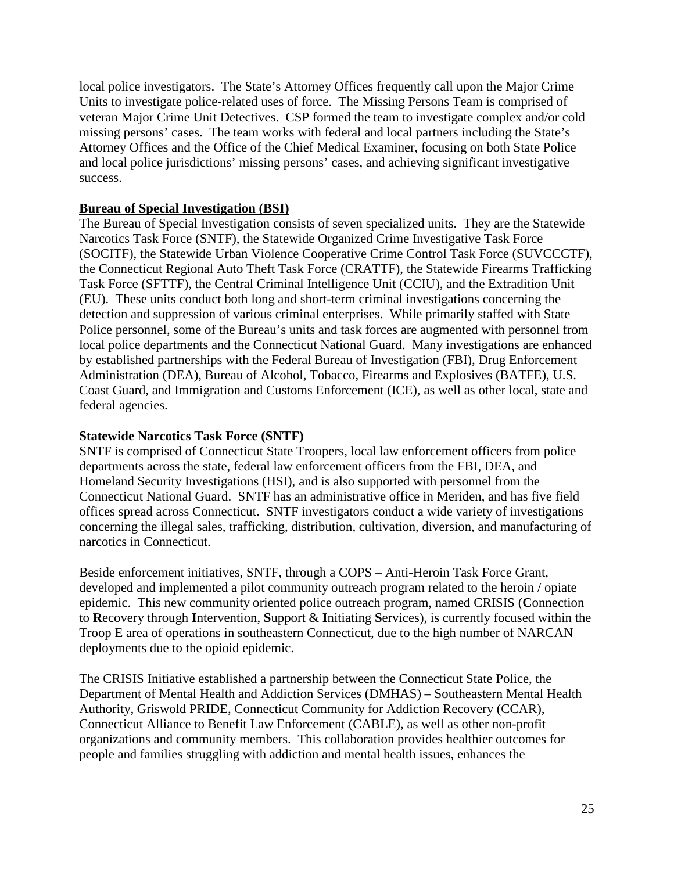local police investigators. The State's Attorney Offices frequently call upon the Major Crime Units to investigate police-related uses of force. The Missing Persons Team is comprised of veteran Major Crime Unit Detectives. CSP formed the team to investigate complex and/or cold missing persons' cases. The team works with federal and local partners including the State's Attorney Offices and the Office of the Chief Medical Examiner, focusing on both State Police and local police jurisdictions' missing persons' cases, and achieving significant investigative success.

#### **Bureau of Special Investigation (BSI)**

The Bureau of Special Investigation consists of seven specialized units. They are the Statewide Narcotics Task Force (SNTF), the Statewide Organized Crime Investigative Task Force (SOCITF), the Statewide Urban Violence Cooperative Crime Control Task Force (SUVCCCTF), the Connecticut Regional Auto Theft Task Force (CRATTF), the Statewide Firearms Trafficking Task Force (SFTTF), the Central Criminal Intelligence Unit (CCIU), and the Extradition Unit (EU). These units conduct both long and short-term criminal investigations concerning the detection and suppression of various criminal enterprises. While primarily staffed with State Police personnel, some of the Bureau's units and task forces are augmented with personnel from local police departments and the Connecticut National Guard. Many investigations are enhanced by established partnerships with the Federal Bureau of Investigation (FBI), Drug Enforcement Administration (DEA), Bureau of Alcohol, Tobacco, Firearms and Explosives (BATFE), U.S. Coast Guard, and Immigration and Customs Enforcement (ICE), as well as other local, state and federal agencies.

#### **Statewide Narcotics Task Force (SNTF)**

SNTF is comprised of Connecticut State Troopers, local law enforcement officers from police departments across the state, federal law enforcement officers from the FBI, DEA, and Homeland Security Investigations (HSI), and is also supported with personnel from the Connecticut National Guard. SNTF has an administrative office in Meriden, and has five field offices spread across Connecticut. SNTF investigators conduct a wide variety of investigations concerning the illegal sales, trafficking, distribution, cultivation, diversion, and manufacturing of narcotics in Connecticut.

Beside enforcement initiatives, SNTF, through a COPS – Anti-Heroin Task Force Grant, developed and implemented a pilot community outreach program related to the heroin / opiate epidemic. This new community oriented police outreach program, named CRISIS (**C**onnection to **R**ecovery through **I**ntervention, **S**upport & **I**nitiating **S**ervices), is currently focused within the Troop E area of operations in southeastern Connecticut, due to the high number of NARCAN deployments due to the opioid epidemic.

The CRISIS Initiative established a partnership between the Connecticut State Police, the Department of Mental Health and Addiction Services (DMHAS) – Southeastern Mental Health Authority, Griswold PRIDE, Connecticut Community for Addiction Recovery (CCAR), Connecticut Alliance to Benefit Law Enforcement (CABLE), as well as other non-profit organizations and community members. This collaboration provides healthier outcomes for people and families struggling with addiction and mental health issues, enhances the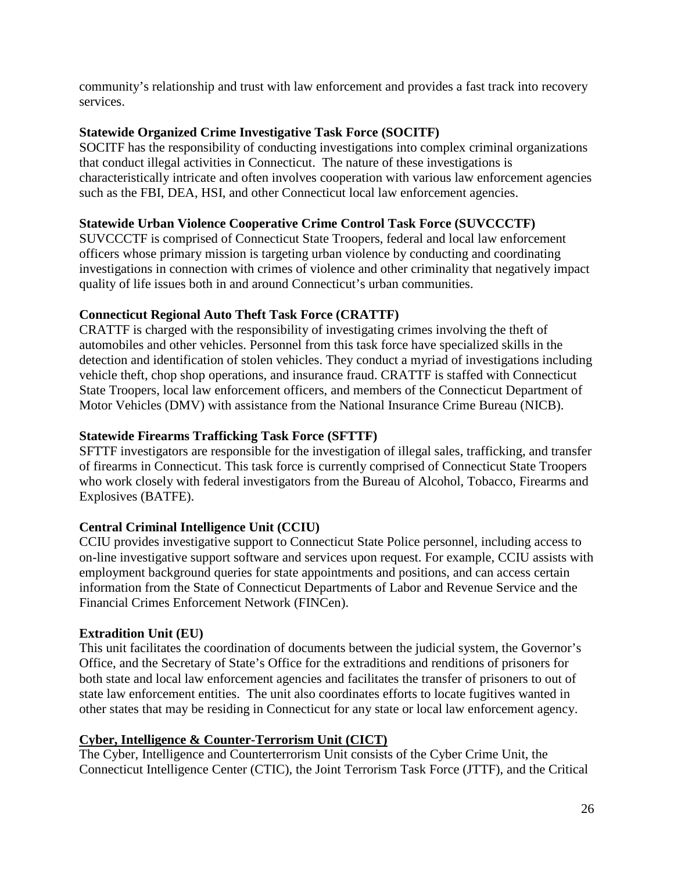community's relationship and trust with law enforcement and provides a fast track into recovery services.

## **Statewide Organized Crime Investigative Task Force (SOCITF)**

SOCITF has the responsibility of conducting investigations into complex criminal organizations that conduct illegal activities in Connecticut. The nature of these investigations is characteristically intricate and often involves cooperation with various law enforcement agencies such as the FBI, DEA, HSI, and other Connecticut local law enforcement agencies.

## **Statewide Urban Violence Cooperative Crime Control Task Force (SUVCCCTF)**

SUVCCCTF is comprised of Connecticut State Troopers, federal and local law enforcement officers whose primary mission is targeting urban violence by conducting and coordinating investigations in connection with crimes of violence and other criminality that negatively impact quality of life issues both in and around Connecticut's urban communities.

## **Connecticut Regional Auto Theft Task Force (CRATTF)**

CRATTF is charged with the responsibility of investigating crimes involving the theft of automobiles and other vehicles. Personnel from this task force have specialized skills in the detection and identification of stolen vehicles. They conduct a myriad of investigations including vehicle theft, chop shop operations, and insurance fraud. CRATTF is staffed with Connecticut State Troopers, local law enforcement officers, and members of the Connecticut Department of Motor Vehicles (DMV) with assistance from the National Insurance Crime Bureau (NICB).

## **Statewide Firearms Trafficking Task Force (SFTTF)**

SFTTF investigators are responsible for the investigation of illegal sales, trafficking, and transfer of firearms in Connecticut. This task force is currently comprised of Connecticut State Troopers who work closely with federal investigators from the Bureau of Alcohol, Tobacco, Firearms and Explosives (BATFE).

## **Central Criminal Intelligence Unit (CCIU)**

CCIU provides investigative support to Connecticut State Police personnel, including access to on-line investigative support software and services upon request. For example, CCIU assists with employment background queries for state appointments and positions, and can access certain information from the State of Connecticut Departments of Labor and Revenue Service and the Financial Crimes Enforcement Network (FINCen).

## **Extradition Unit (EU)**

This unit facilitates the coordination of documents between the judicial system, the Governor's Office, and the Secretary of State's Office for the extraditions and renditions of prisoners for both state and local law enforcement agencies and facilitates the transfer of prisoners to out of state law enforcement entities. The unit also coordinates efforts to locate fugitives wanted in other states that may be residing in Connecticut for any state or local law enforcement agency.

## **Cyber, Intelligence & Counter-Terrorism Unit (CICT)**

The Cyber, Intelligence and Counterterrorism Unit consists of the Cyber Crime Unit, the Connecticut Intelligence Center (CTIC), the Joint Terrorism Task Force (JTTF), and the Critical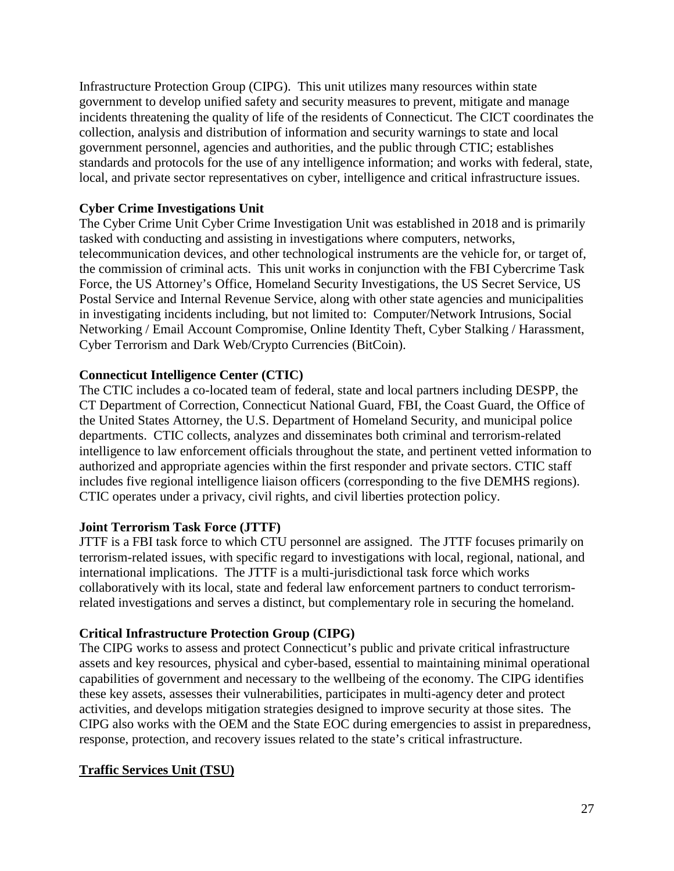Infrastructure Protection Group (CIPG). This unit utilizes many resources within state government to develop unified safety and security measures to prevent, mitigate and manage incidents threatening the quality of life of the residents of Connecticut. The CICT coordinates the collection, analysis and distribution of information and security warnings to state and local government personnel, agencies and authorities, and the public through CTIC; establishes standards and protocols for the use of any intelligence information; and works with federal, state, local, and private sector representatives on cyber, intelligence and critical infrastructure issues.

## **Cyber Crime Investigations Unit**

The Cyber Crime Unit Cyber Crime Investigation Unit was established in 2018 and is primarily tasked with conducting and assisting in investigations where computers, networks, telecommunication devices, and other technological instruments are the vehicle for, or target of, the commission of criminal acts. This unit works in conjunction with the FBI Cybercrime Task Force, the US Attorney's Office, Homeland Security Investigations, the US Secret Service, US Postal Service and Internal Revenue Service, along with other state agencies and municipalities in investigating incidents including, but not limited to: Computer/Network Intrusions, Social Networking / Email Account Compromise, Online Identity Theft, Cyber Stalking / Harassment, Cyber Terrorism and Dark Web/Crypto Currencies (BitCoin).

## **Connecticut Intelligence Center (CTIC)**

The CTIC includes a co-located team of federal, state and local partners including DESPP, the CT Department of Correction, Connecticut National Guard, FBI, the Coast Guard, the Office of the United States Attorney, the U.S. Department of Homeland Security, and municipal police departments. CTIC collects, analyzes and disseminates both criminal and terrorism-related intelligence to law enforcement officials throughout the state, and pertinent vetted information to authorized and appropriate agencies within the first responder and private sectors. CTIC staff includes five regional intelligence liaison officers (corresponding to the five DEMHS regions). CTIC operates under a privacy, civil rights, and civil liberties protection policy.

## **Joint Terrorism Task Force (JTTF)**

JTTF is a FBI task force to which CTU personnel are assigned. The JTTF focuses primarily on terrorism-related issues, with specific regard to investigations with local, regional, national, and international implications. The JTTF is a multi-jurisdictional task force which works collaboratively with its local, state and federal law enforcement partners to conduct terrorismrelated investigations and serves a distinct, but complementary role in securing the homeland.

## **Critical Infrastructure Protection Group (CIPG)**

The CIPG works to assess and protect Connecticut's public and private critical infrastructure assets and key resources, physical and cyber-based, essential to maintaining minimal operational capabilities of government and necessary to the wellbeing of the economy. The CIPG identifies these key assets, assesses their vulnerabilities, participates in multi-agency deter and protect activities, and develops mitigation strategies designed to improve security at those sites. The CIPG also works with the OEM and the State EOC during emergencies to assist in preparedness, response, protection, and recovery issues related to the state's critical infrastructure.

## **Traffic Services Unit (TSU)**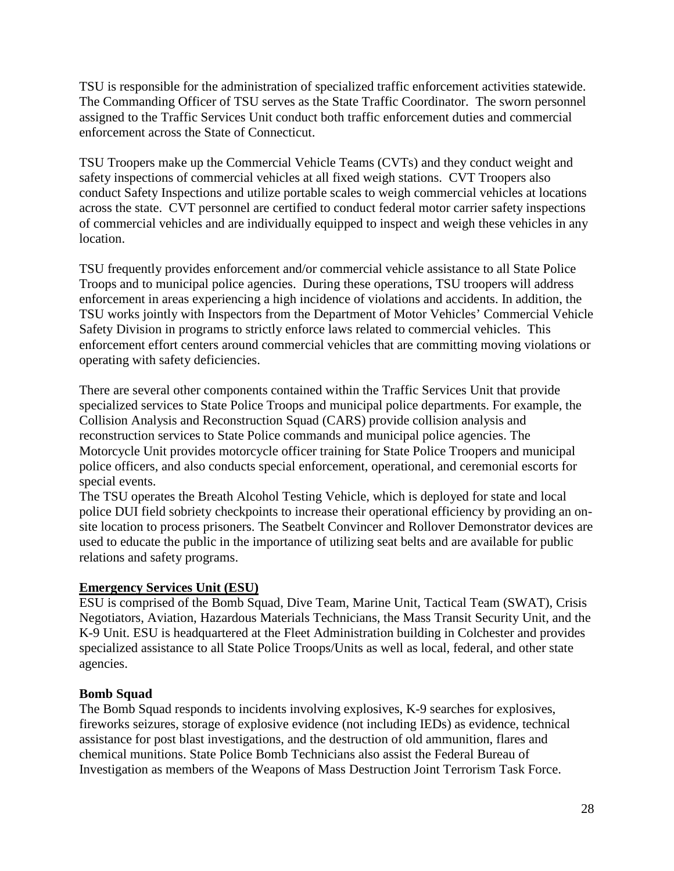TSU is responsible for the administration of specialized traffic enforcement activities statewide. The Commanding Officer of TSU serves as the State Traffic Coordinator. The sworn personnel assigned to the Traffic Services Unit conduct both traffic enforcement duties and commercial enforcement across the State of Connecticut.

TSU Troopers make up the Commercial Vehicle Teams (CVTs) and they conduct weight and safety inspections of commercial vehicles at all fixed weigh stations. CVT Troopers also conduct Safety Inspections and utilize portable scales to weigh commercial vehicles at locations across the state. CVT personnel are certified to conduct federal motor carrier safety inspections of commercial vehicles and are individually equipped to inspect and weigh these vehicles in any location.

TSU frequently provides enforcement and/or commercial vehicle assistance to all State Police Troops and to municipal police agencies. During these operations, TSU troopers will address enforcement in areas experiencing a high incidence of violations and accidents. In addition, the TSU works jointly with Inspectors from the Department of Motor Vehicles' Commercial Vehicle Safety Division in programs to strictly enforce laws related to commercial vehicles. This enforcement effort centers around commercial vehicles that are committing moving violations or operating with safety deficiencies.

There are several other components contained within the Traffic Services Unit that provide specialized services to State Police Troops and municipal police departments. For example, the Collision Analysis and Reconstruction Squad (CARS) provide collision analysis and reconstruction services to State Police commands and municipal police agencies. The Motorcycle Unit provides motorcycle officer training for State Police Troopers and municipal police officers, and also conducts special enforcement, operational, and ceremonial escorts for special events.

The TSU operates the Breath Alcohol Testing Vehicle, which is deployed for state and local police DUI field sobriety checkpoints to increase their operational efficiency by providing an onsite location to process prisoners. The Seatbelt Convincer and Rollover Demonstrator devices are used to educate the public in the importance of utilizing seat belts and are available for public relations and safety programs.

## **Emergency Services Unit (ESU)**

ESU is comprised of the Bomb Squad, Dive Team, Marine Unit, Tactical Team (SWAT), Crisis Negotiators, Aviation, Hazardous Materials Technicians, the Mass Transit Security Unit, and the K-9 Unit. ESU is headquartered at the Fleet Administration building in Colchester and provides specialized assistance to all State Police Troops/Units as well as local, federal, and other state agencies.

## **Bomb Squad**

The Bomb Squad responds to incidents involving explosives, K-9 searches for explosives, fireworks seizures, storage of explosive evidence (not including IEDs) as evidence, technical assistance for post blast investigations, and the destruction of old ammunition, flares and chemical munitions. State Police Bomb Technicians also assist the Federal Bureau of Investigation as members of the Weapons of Mass Destruction Joint Terrorism Task Force.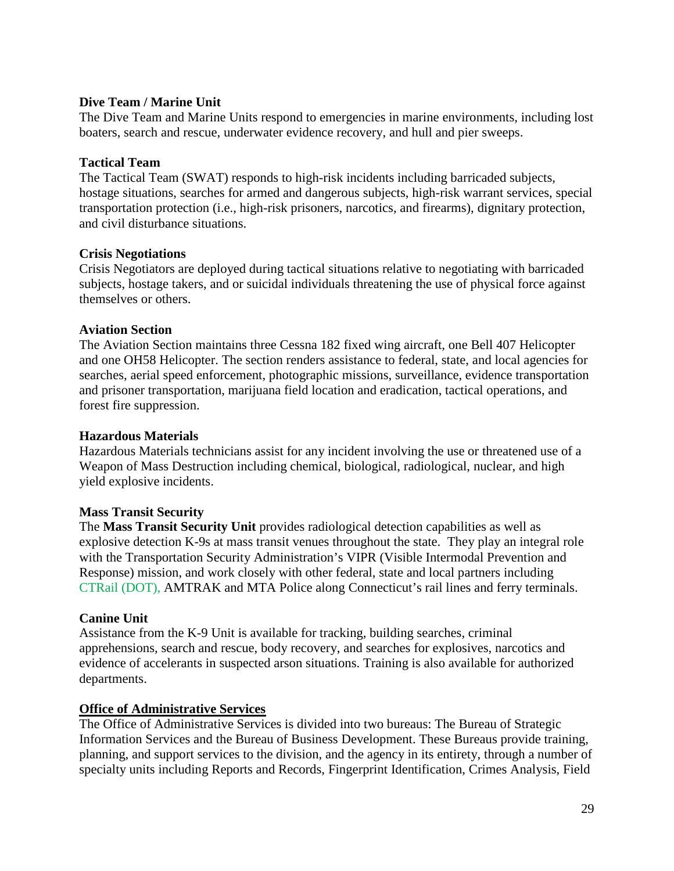#### **Dive Team / Marine Unit**

The Dive Team and Marine Units respond to emergencies in marine environments, including lost boaters, search and rescue, underwater evidence recovery, and hull and pier sweeps.

#### **Tactical Team**

The Tactical Team (SWAT) responds to high-risk incidents including barricaded subjects, hostage situations, searches for armed and dangerous subjects, high-risk warrant services, special transportation protection (i.e., high-risk prisoners, narcotics, and firearms), dignitary protection, and civil disturbance situations.

#### **Crisis Negotiations**

Crisis Negotiators are deployed during tactical situations relative to negotiating with barricaded subjects, hostage takers, and or suicidal individuals threatening the use of physical force against themselves or others.

#### **Aviation Section**

The Aviation Section maintains three Cessna 182 fixed wing aircraft, one Bell 407 Helicopter and one OH58 Helicopter. The section renders assistance to federal, state, and local agencies for searches, aerial speed enforcement, photographic missions, surveillance, evidence transportation and prisoner transportation, marijuana field location and eradication, tactical operations, and forest fire suppression.

#### **Hazardous Materials**

Hazardous Materials technicians assist for any incident involving the use or threatened use of a Weapon of Mass Destruction including chemical, biological, radiological, nuclear, and high yield explosive incidents.

#### **Mass Transit Security**

The **Mass Transit Security Unit** provides radiological detection capabilities as well as explosive detection K-9s at mass transit venues throughout the state. They play an integral role with the Transportation Security Administration's VIPR (Visible Intermodal Prevention and Response) mission, and work closely with other federal, state and local partners including CTRail (DOT), AMTRAK and MTA Police along Connecticut's rail lines and ferry terminals.

#### **Canine Unit**

Assistance from the K-9 Unit is available for tracking, building searches, criminal apprehensions, search and rescue, body recovery, and searches for explosives, narcotics and evidence of accelerants in suspected arson situations. Training is also available for authorized departments.

#### **Office of Administrative Services**

The Office of Administrative Services is divided into two bureaus: The Bureau of Strategic Information Services and the Bureau of Business Development. These Bureaus provide training, planning, and support services to the division, and the agency in its entirety, through a number of specialty units including Reports and Records, Fingerprint Identification, Crimes Analysis, Field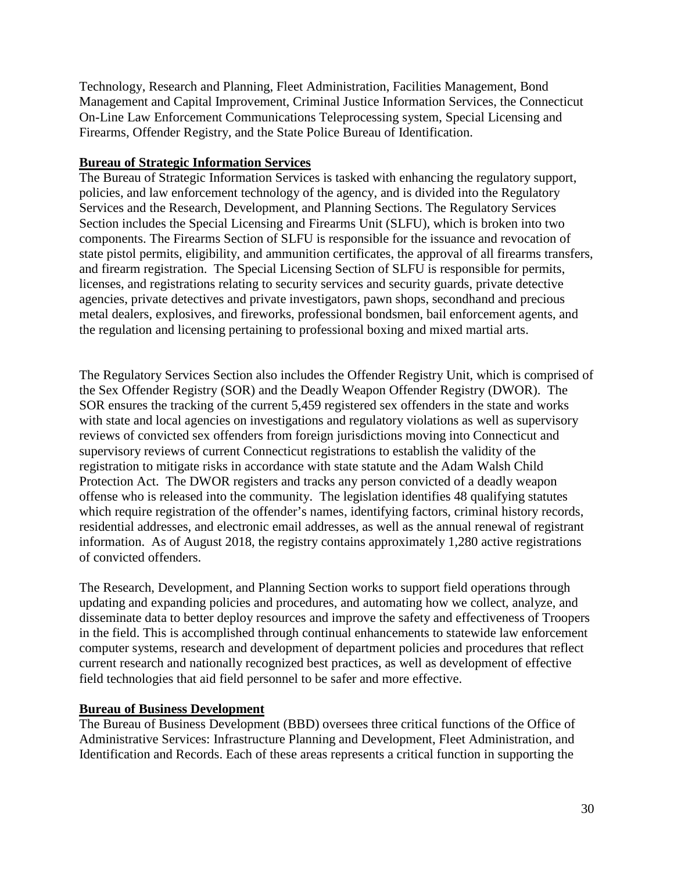Technology, Research and Planning, Fleet Administration, Facilities Management, Bond Management and Capital Improvement, Criminal Justice Information Services, the Connecticut On-Line Law Enforcement Communications Teleprocessing system, Special Licensing and Firearms, Offender Registry, and the State Police Bureau of Identification.

#### **Bureau of Strategic Information Services**

The Bureau of Strategic Information Services is tasked with enhancing the regulatory support, policies, and law enforcement technology of the agency, and is divided into the Regulatory Services and the Research, Development, and Planning Sections. The Regulatory Services Section includes the Special Licensing and Firearms Unit (SLFU), which is broken into two components. The Firearms Section of SLFU is responsible for the issuance and revocation of state pistol permits, eligibility, and ammunition certificates, the approval of all firearms transfers, and firearm registration. The Special Licensing Section of SLFU is responsible for permits, licenses, and registrations relating to security services and security guards, private detective agencies, private detectives and private investigators, pawn shops, secondhand and precious metal dealers, explosives, and fireworks, professional bondsmen, bail enforcement agents, and the regulation and licensing pertaining to professional boxing and mixed martial arts.

The Regulatory Services Section also includes the Offender Registry Unit, which is comprised of the Sex Offender Registry (SOR) and the Deadly Weapon Offender Registry (DWOR). The SOR ensures the tracking of the current 5,459 registered sex offenders in the state and works with state and local agencies on investigations and regulatory violations as well as supervisory reviews of convicted sex offenders from foreign jurisdictions moving into Connecticut and supervisory reviews of current Connecticut registrations to establish the validity of the registration to mitigate risks in accordance with state statute and the Adam Walsh Child Protection Act. The DWOR registers and tracks any person convicted of a deadly weapon offense who is released into the community. The legislation identifies 48 qualifying statutes which require registration of the offender's names, identifying factors, criminal history records, residential addresses, and electronic email addresses, as well as the annual renewal of registrant information. As of August 2018, the registry contains approximately 1,280 active registrations of convicted offenders.

The Research, Development, and Planning Section works to support field operations through updating and expanding policies and procedures, and automating how we collect, analyze, and disseminate data to better deploy resources and improve the safety and effectiveness of Troopers in the field. This is accomplished through continual enhancements to statewide law enforcement computer systems, research and development of department policies and procedures that reflect current research and nationally recognized best practices, as well as development of effective field technologies that aid field personnel to be safer and more effective.

## **Bureau of Business Development**

The Bureau of Business Development (BBD) oversees three critical functions of the Office of Administrative Services: Infrastructure Planning and Development, Fleet Administration, and Identification and Records. Each of these areas represents a critical function in supporting the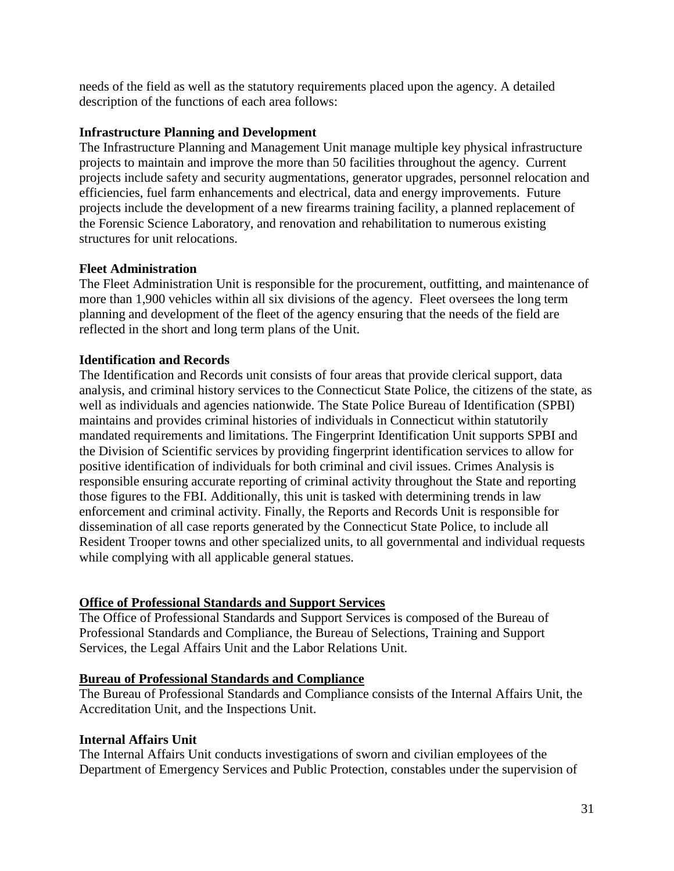needs of the field as well as the statutory requirements placed upon the agency. A detailed description of the functions of each area follows:

#### **Infrastructure Planning and Development**

The Infrastructure Planning and Management Unit manage multiple key physical infrastructure projects to maintain and improve the more than 50 facilities throughout the agency. Current projects include safety and security augmentations, generator upgrades, personnel relocation and efficiencies, fuel farm enhancements and electrical, data and energy improvements. Future projects include the development of a new firearms training facility, a planned replacement of the Forensic Science Laboratory, and renovation and rehabilitation to numerous existing structures for unit relocations.

#### **Fleet Administration**

The Fleet Administration Unit is responsible for the procurement, outfitting, and maintenance of more than 1,900 vehicles within all six divisions of the agency. Fleet oversees the long term planning and development of the fleet of the agency ensuring that the needs of the field are reflected in the short and long term plans of the Unit.

#### **Identification and Records**

The Identification and Records unit consists of four areas that provide clerical support, data analysis, and criminal history services to the Connecticut State Police, the citizens of the state, as well as individuals and agencies nationwide. The State Police Bureau of Identification (SPBI) maintains and provides criminal histories of individuals in Connecticut within statutorily mandated requirements and limitations. The Fingerprint Identification Unit supports SPBI and the Division of Scientific services by providing fingerprint identification services to allow for positive identification of individuals for both criminal and civil issues. Crimes Analysis is responsible ensuring accurate reporting of criminal activity throughout the State and reporting those figures to the FBI. Additionally, this unit is tasked with determining trends in law enforcement and criminal activity. Finally, the Reports and Records Unit is responsible for dissemination of all case reports generated by the Connecticut State Police, to include all Resident Trooper towns and other specialized units, to all governmental and individual requests while complying with all applicable general statues.

## **Office of Professional Standards and Support Services**

The Office of Professional Standards and Support Services is composed of the Bureau of Professional Standards and Compliance, the Bureau of Selections, Training and Support Services, the Legal Affairs Unit and the Labor Relations Unit.

#### **Bureau of Professional Standards and Compliance**

The Bureau of Professional Standards and Compliance consists of the Internal Affairs Unit, the Accreditation Unit, and the Inspections Unit.

#### **Internal Affairs Unit**

The Internal Affairs Unit conducts investigations of sworn and civilian employees of the Department of Emergency Services and Public Protection, constables under the supervision of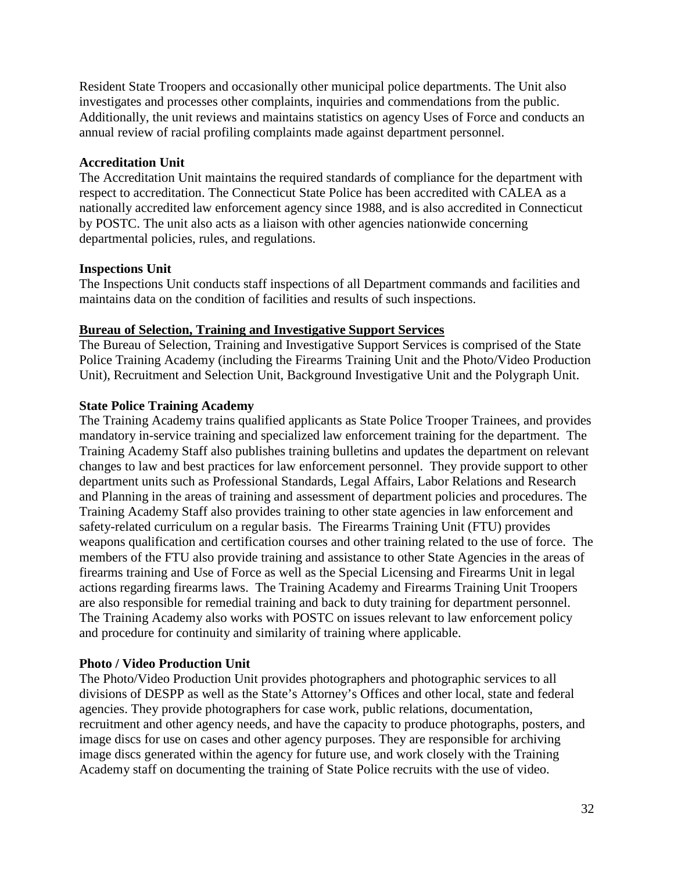Resident State Troopers and occasionally other municipal police departments. The Unit also investigates and processes other complaints, inquiries and commendations from the public. Additionally, the unit reviews and maintains statistics on agency Uses of Force and conducts an annual review of racial profiling complaints made against department personnel.

#### **Accreditation Unit**

The Accreditation Unit maintains the required standards of compliance for the department with respect to accreditation. The Connecticut State Police has been accredited with CALEA as a nationally accredited law enforcement agency since 1988, and is also accredited in Connecticut by POSTC. The unit also acts as a liaison with other agencies nationwide concerning departmental policies, rules, and regulations.

#### **Inspections Unit**

The Inspections Unit conducts staff inspections of all Department commands and facilities and maintains data on the condition of facilities and results of such inspections.

#### **Bureau of Selection, Training and Investigative Support Services**

The Bureau of Selection, Training and Investigative Support Services is comprised of the State Police Training Academy (including the Firearms Training Unit and the Photo/Video Production Unit), Recruitment and Selection Unit, Background Investigative Unit and the Polygraph Unit.

#### **State Police Training Academy**

The Training Academy trains qualified applicants as State Police Trooper Trainees, and provides mandatory in-service training and specialized law enforcement training for the department. The Training Academy Staff also publishes training bulletins and updates the department on relevant changes to law and best practices for law enforcement personnel. They provide support to other department units such as Professional Standards, Legal Affairs, Labor Relations and Research and Planning in the areas of training and assessment of department policies and procedures. The Training Academy Staff also provides training to other state agencies in law enforcement and safety-related curriculum on a regular basis. The Firearms Training Unit (FTU) provides weapons qualification and certification courses and other training related to the use of force. The members of the FTU also provide training and assistance to other State Agencies in the areas of firearms training and Use of Force as well as the Special Licensing and Firearms Unit in legal actions regarding firearms laws. The Training Academy and Firearms Training Unit Troopers are also responsible for remedial training and back to duty training for department personnel. The Training Academy also works with POSTC on issues relevant to law enforcement policy and procedure for continuity and similarity of training where applicable.

#### **Photo / Video Production Unit**

The Photo/Video Production Unit provides photographers and photographic services to all divisions of DESPP as well as the State's Attorney's Offices and other local, state and federal agencies. They provide photographers for case work, public relations, documentation, recruitment and other agency needs, and have the capacity to produce photographs, posters, and image discs for use on cases and other agency purposes. They are responsible for archiving image discs generated within the agency for future use, and work closely with the Training Academy staff on documenting the training of State Police recruits with the use of video.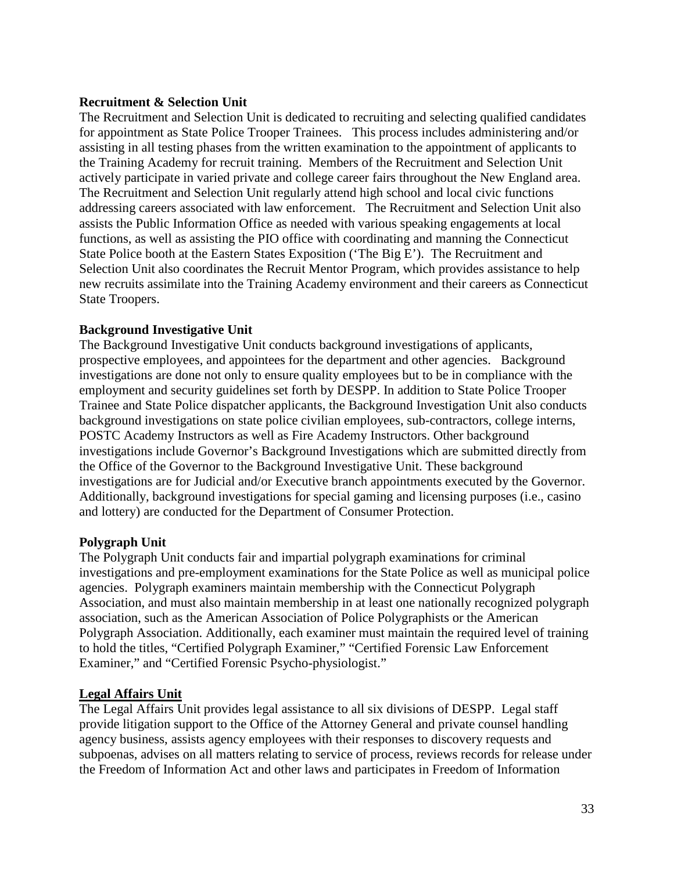#### **Recruitment & Selection Unit**

The Recruitment and Selection Unit is dedicated to recruiting and selecting qualified candidates for appointment as State Police Trooper Trainees. This process includes administering and/or assisting in all testing phases from the written examination to the appointment of applicants to the Training Academy for recruit training. Members of the Recruitment and Selection Unit actively participate in varied private and college career fairs throughout the New England area. The Recruitment and Selection Unit regularly attend high school and local civic functions addressing careers associated with law enforcement. The Recruitment and Selection Unit also assists the Public Information Office as needed with various speaking engagements at local functions, as well as assisting the PIO office with coordinating and manning the Connecticut State Police booth at the Eastern States Exposition ('The Big E'). The Recruitment and Selection Unit also coordinates the Recruit Mentor Program, which provides assistance to help new recruits assimilate into the Training Academy environment and their careers as Connecticut State Troopers.

## **Background Investigative Unit**

The Background Investigative Unit conducts background investigations of applicants, prospective employees, and appointees for the department and other agencies. Background investigations are done not only to ensure quality employees but to be in compliance with the employment and security guidelines set forth by DESPP. In addition to State Police Trooper Trainee and State Police dispatcher applicants, the Background Investigation Unit also conducts background investigations on state police civilian employees, sub-contractors, college interns, POSTC Academy Instructors as well as Fire Academy Instructors. Other background investigations include Governor's Background Investigations which are submitted directly from the Office of the Governor to the Background Investigative Unit. These background investigations are for Judicial and/or Executive branch appointments executed by the Governor. Additionally, background investigations for special gaming and licensing purposes (i.e., casino and lottery) are conducted for the Department of Consumer Protection.

## **Polygraph Unit**

The Polygraph Unit conducts fair and impartial polygraph examinations for criminal investigations and pre-employment examinations for the State Police as well as municipal police agencies. Polygraph examiners maintain membership with the Connecticut Polygraph Association, and must also maintain membership in at least one nationally recognized polygraph association, such as the American Association of Police Polygraphists or the American Polygraph Association. Additionally, each examiner must maintain the required level of training to hold the titles, "Certified Polygraph Examiner," "Certified Forensic Law Enforcement Examiner," and "Certified Forensic Psycho-physiologist."

#### **Legal Affairs Unit**

The Legal Affairs Unit provides legal assistance to all six divisions of DESPP. Legal staff provide litigation support to the Office of the Attorney General and private counsel handling agency business, assists agency employees with their responses to discovery requests and subpoenas, advises on all matters relating to service of process, reviews records for release under the Freedom of Information Act and other laws and participates in Freedom of Information